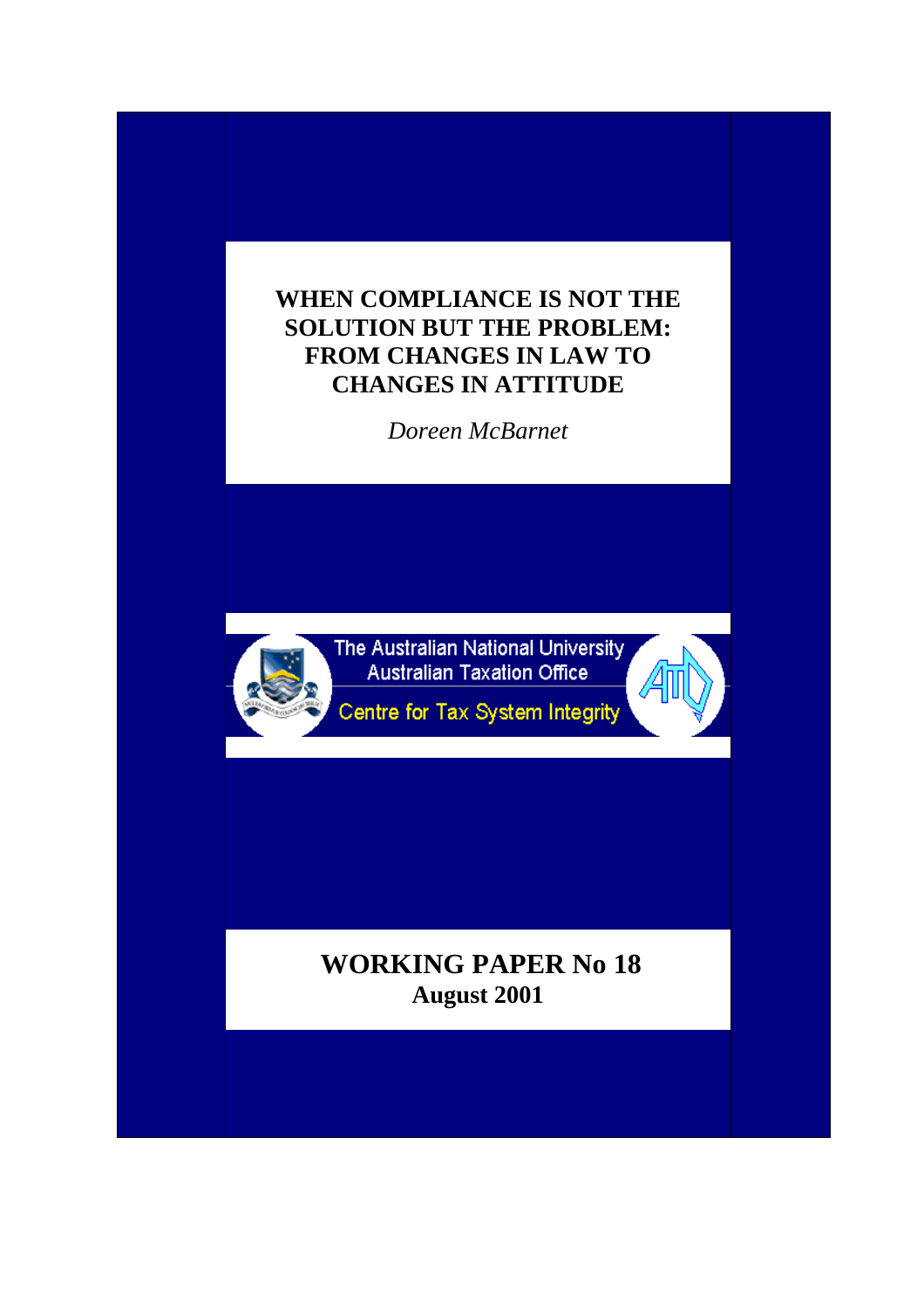## **WHEN COMPLIANCE IS NOT THE SOLUTION BUT THE PROBLEM: FROM CHANGES IN LAW TO CHANGES IN ATTITUDE**

*Doreen McBarnet*



The Australian National University<br>Australian Taxation Office

Centre for Tax System Integrity

**WORKING PAPER No 18 August 2001**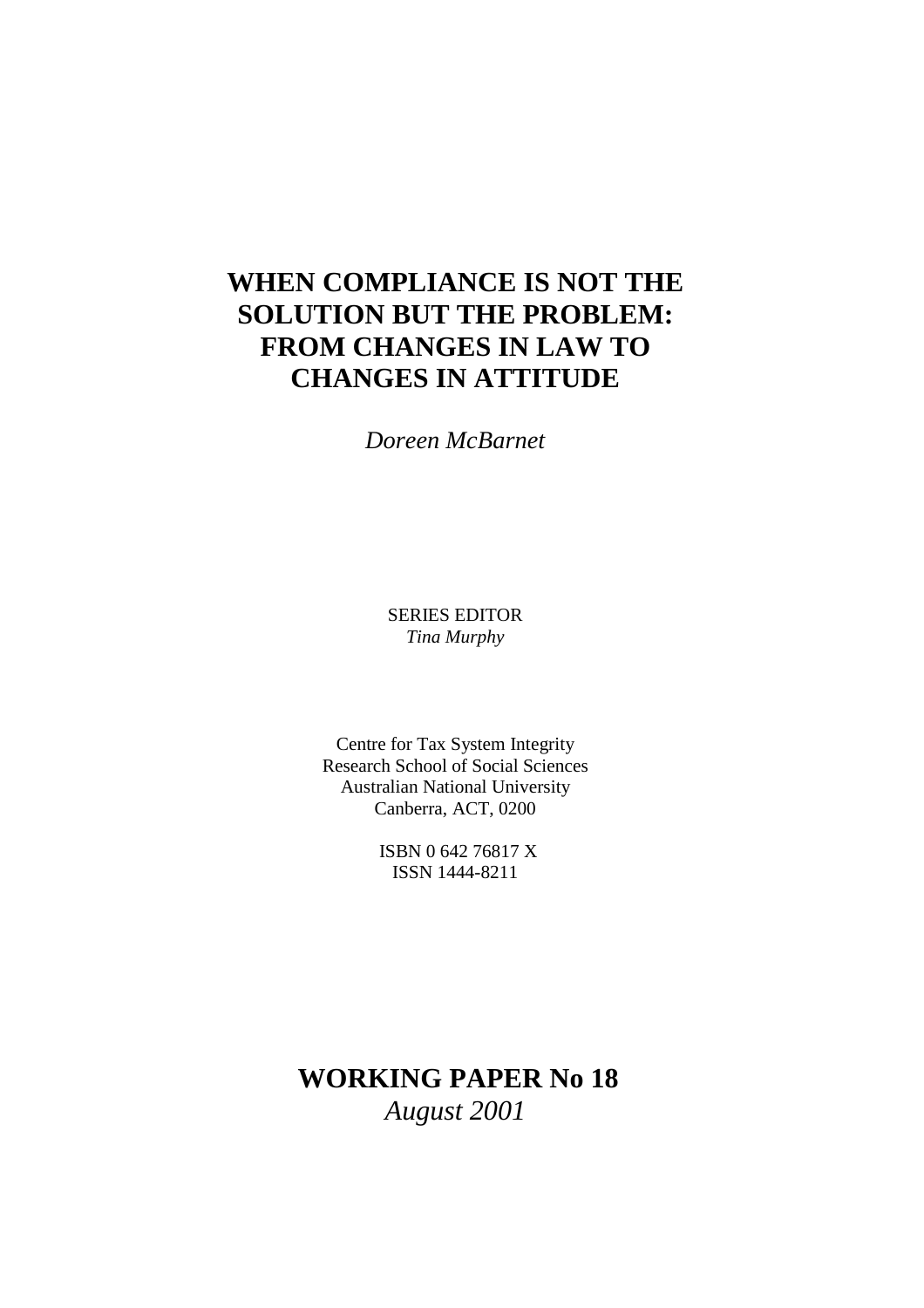# **WHEN COMPLIANCE IS NOT THE SOLUTION BUT THE PROBLEM: FROM CHANGES IN LAW TO CHANGES IN ATTITUDE**

*Doreen McBarnet*

SERIES EDITOR *Tina Murphy*

Centre for Tax System Integrity Research School of Social Sciences Australian National University Canberra, ACT, 0200

> ISBN 0 642 76817 X ISSN 1444-8211

**WORKING PAPER No 18** *August 2001*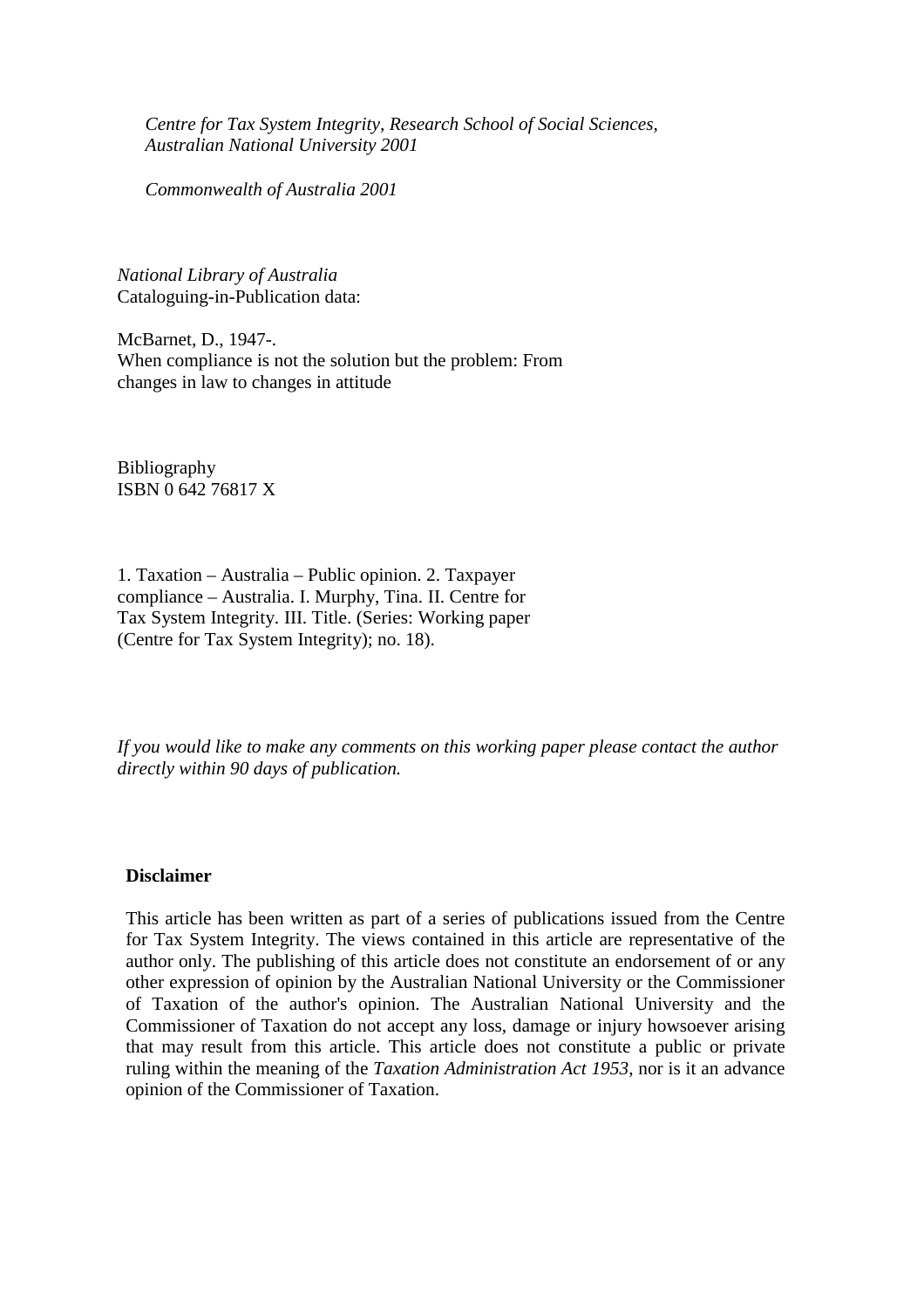- *Centre for Tax System Integrity, Research School of Social Sciences, Australian National University 2001*
- *Commonwealth of Australia 2001*

*National Library of Australia* Cataloguing-in-Publication data:

McBarnet, D., 1947-. When compliance is not the solution but the problem: From changes in law to changes in attitude

Bibliography ISBN 0 642 76817 X

1. Taxation – Australia – Public opinion. 2. Taxpayer compliance – Australia. I. Murphy, Tina. II. Centre for Tax System Integrity. III. Title. (Series: Working paper (Centre for Tax System Integrity); no. 18).

*If you would like to make any comments on this working paper please contact the author directly within 90 days of publication.*

## **Disclaimer**

This article has been written as part of a series of publications issued from the Centre for Tax System Integrity. The views contained in this article are representative of the author only. The publishing of this article does not constitute an endorsement of or any other expression of opinion by the Australian National University or the Commissioner of Taxation of the author's opinion. The Australian National University and the Commissioner of Taxation do not accept any loss, damage or injury howsoever arising that may result from this article. This article does not constitute a public or private ruling within the meaning of the *Taxation Administration Act 1953*, nor is it an advance opinion of the Commissioner of Taxation.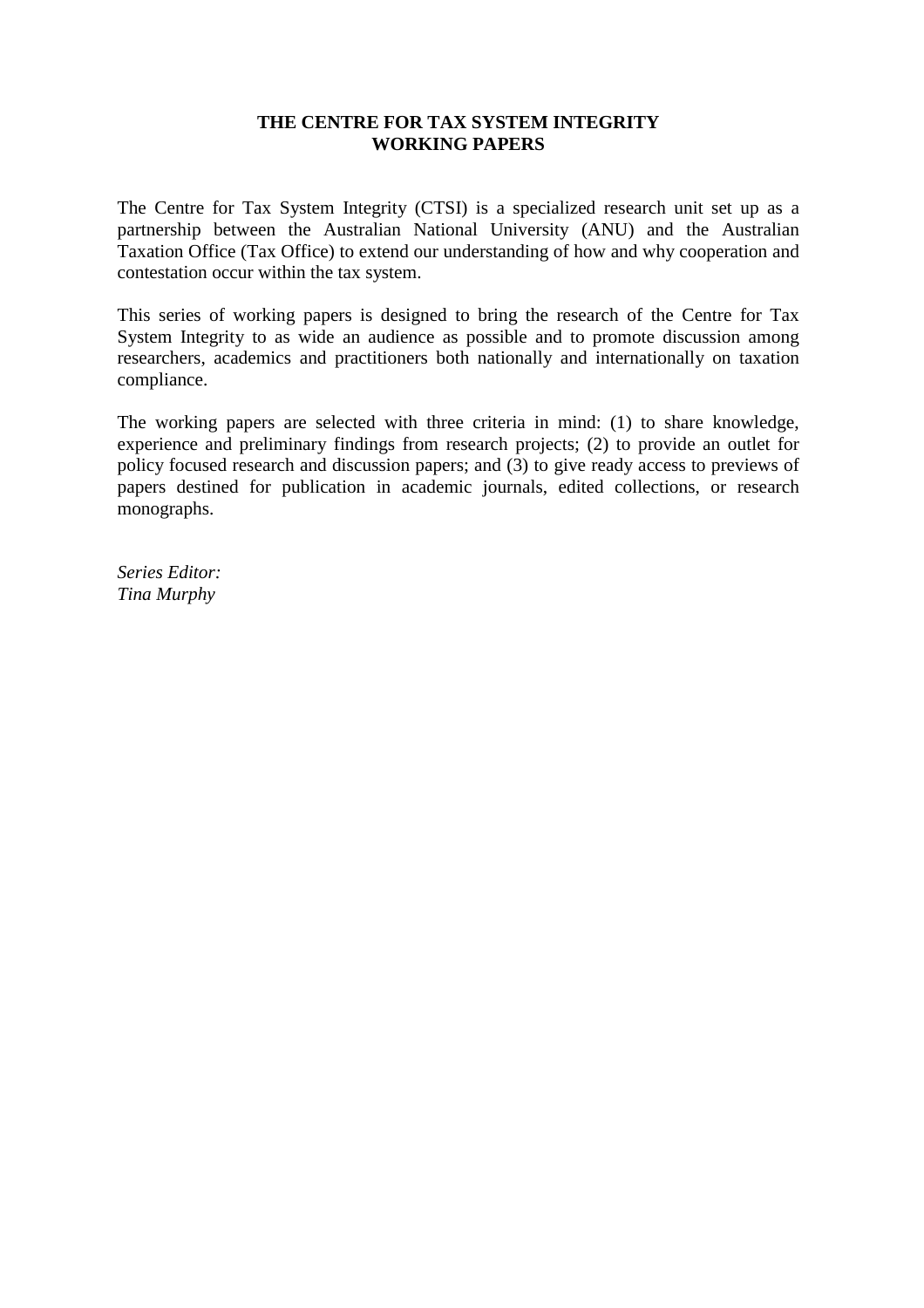## **THE CENTRE FOR TAX SYSTEM INTEGRITY WORKING PAPERS**

The Centre for Tax System Integrity (CTSI) is a specialized research unit set up as a partnership between the Australian National University (ANU) and the Australian Taxation Office (Tax Office) to extend our understanding of how and why cooperation and contestation occur within the tax system.

This series of working papers is designed to bring the research of the Centre for Tax System Integrity to as wide an audience as possible and to promote discussion among researchers, academics and practitioners both nationally and internationally on taxation compliance.

The working papers are selected with three criteria in mind: (1) to share knowledge, experience and preliminary findings from research projects; (2) to provide an outlet for policy focused research and discussion papers; and (3) to give ready access to previews of papers destined for publication in academic journals, edited collections, or research monographs.

*Series Editor: Tina Murphy*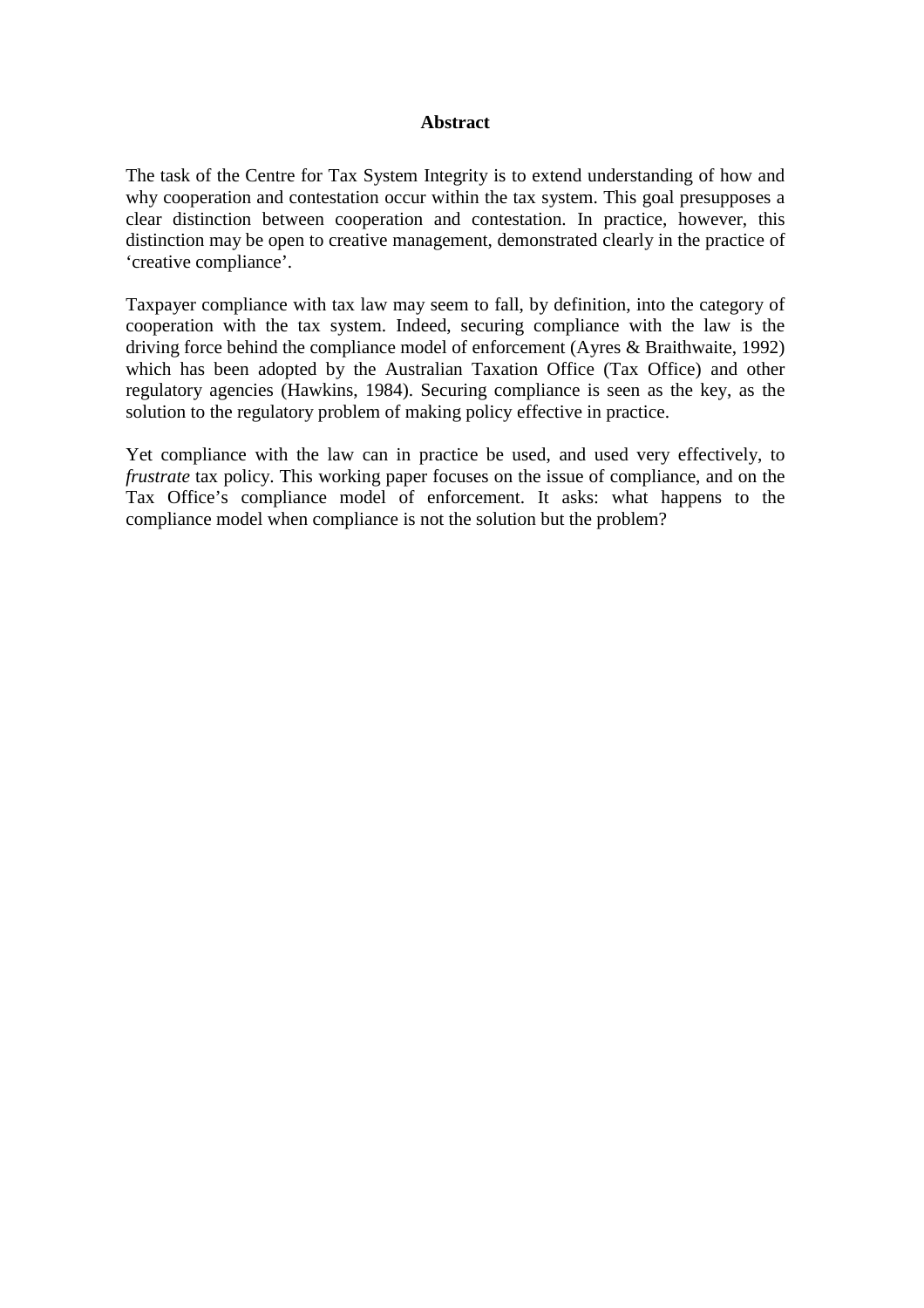## **Abstract**

The task of the Centre for Tax System Integrity is to extend understanding of how and why cooperation and contestation occur within the tax system. This goal presupposes a clear distinction between cooperation and contestation. In practice, however, this distinction may be open to creative management, demonstrated clearly in the practice of 'creative compliance'.

Taxpayer compliance with tax law may seem to fall, by definition, into the category of cooperation with the tax system. Indeed, securing compliance with the law is the driving force behind the compliance model of enforcement (Ayres & Braithwaite, 1992) which has been adopted by the Australian Taxation Office (Tax Office) and other regulatory agencies (Hawkins, 1984). Securing compliance is seen as the key, as the solution to the regulatory problem of making policy effective in practice.

Yet compliance with the law can in practice be used, and used very effectively, to *frustrate* tax policy. This working paper focuses on the issue of compliance, and on the Tax Office's compliance model of enforcement. It asks: what happens to the compliance model when compliance is not the solution but the problem?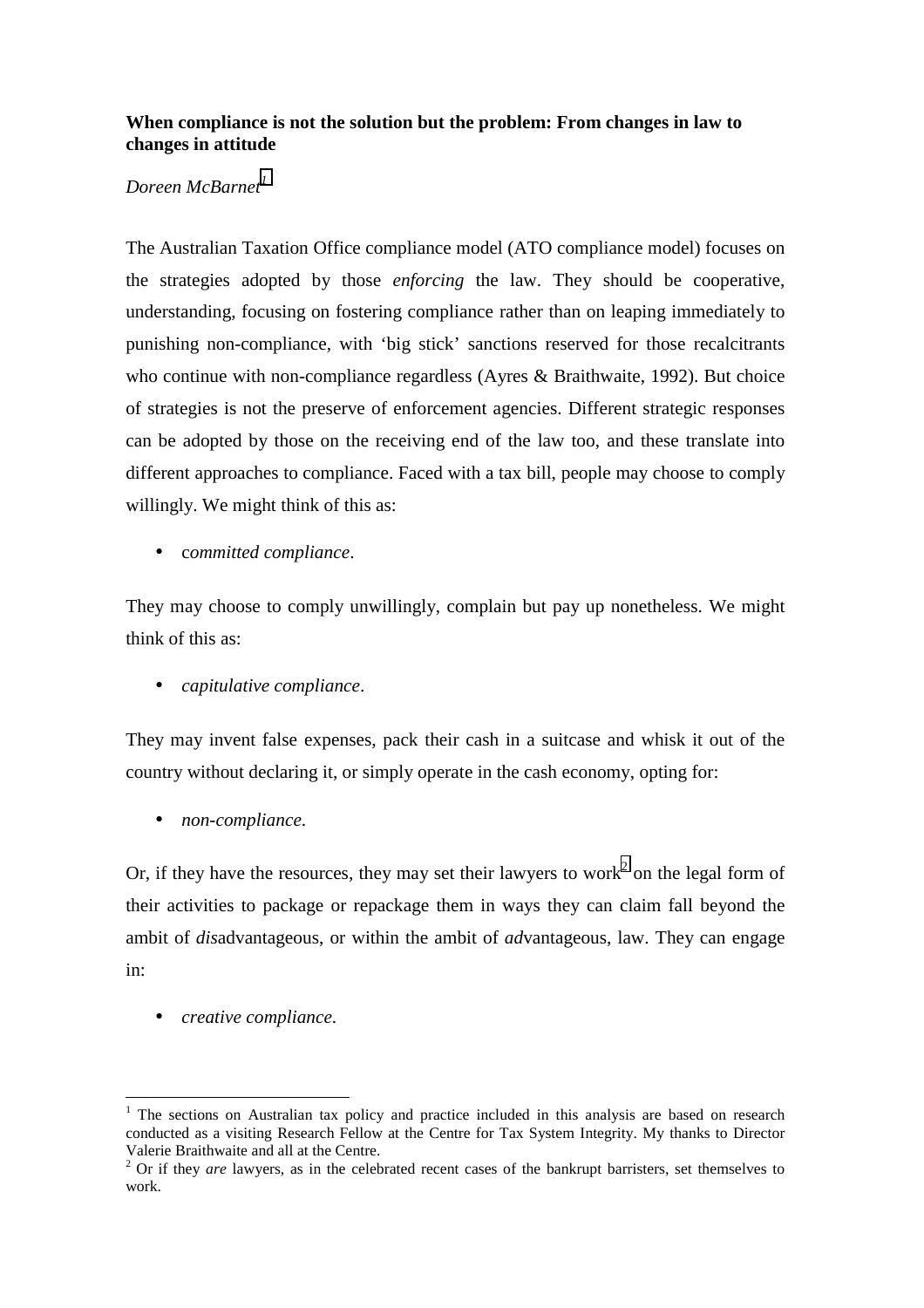## **When compliance is not the solution but the problem: From changes in law to changes in attitude**

## *Doreen McBarnet<sup>1</sup>*

The Australian Taxation Office compliance model (ATO compliance model) focuses on the strategies adopted by those *enforcing* the law. They should be cooperative, understanding, focusing on fostering compliance rather than on leaping immediately to punishing non-compliance, with 'big stick' sanctions reserved for those recalcitrants who continue with non-compliance regardless (Ayres & Braithwaite, 1992). But choice of strategies is not the preserve of enforcement agencies. Different strategic responses can be adopted by those on the receiving end of the law too, and these translate into different approaches to compliance. Faced with a tax bill, people may choose to comply willingly. We might think of this as:

• c*ommitted compliance*.

They may choose to comply unwillingly, complain but pay up nonetheless. We might think of this as:

• *capitulative compliance*.

They may invent false expenses, pack their cash in a suitcase and whisk it out of the country without declaring it, or simply operate in the cash economy, opting for:

• *non-compliance*.

Or, if they have the resources, they may set their lawyers to work<sup>2</sup> on the legal form of their activities to package or repackage them in ways they can claim fall beyond the ambit of *dis*advantageous, or within the ambit of *ad*vantageous, law. They can engage in:

• *creative compliance*.

 1 The sections on Australian tax policy and practice included in this analysis are based on research conducted as a visiting Research Fellow at the Centre for Tax System Integrity. My thanks to Director Valerie Braithwaite and all at the Centre.

<sup>&</sup>lt;sup>2</sup> Or if they *are* lawyers, as in the celebrated recent cases of the bankrupt barristers, set themselves to work.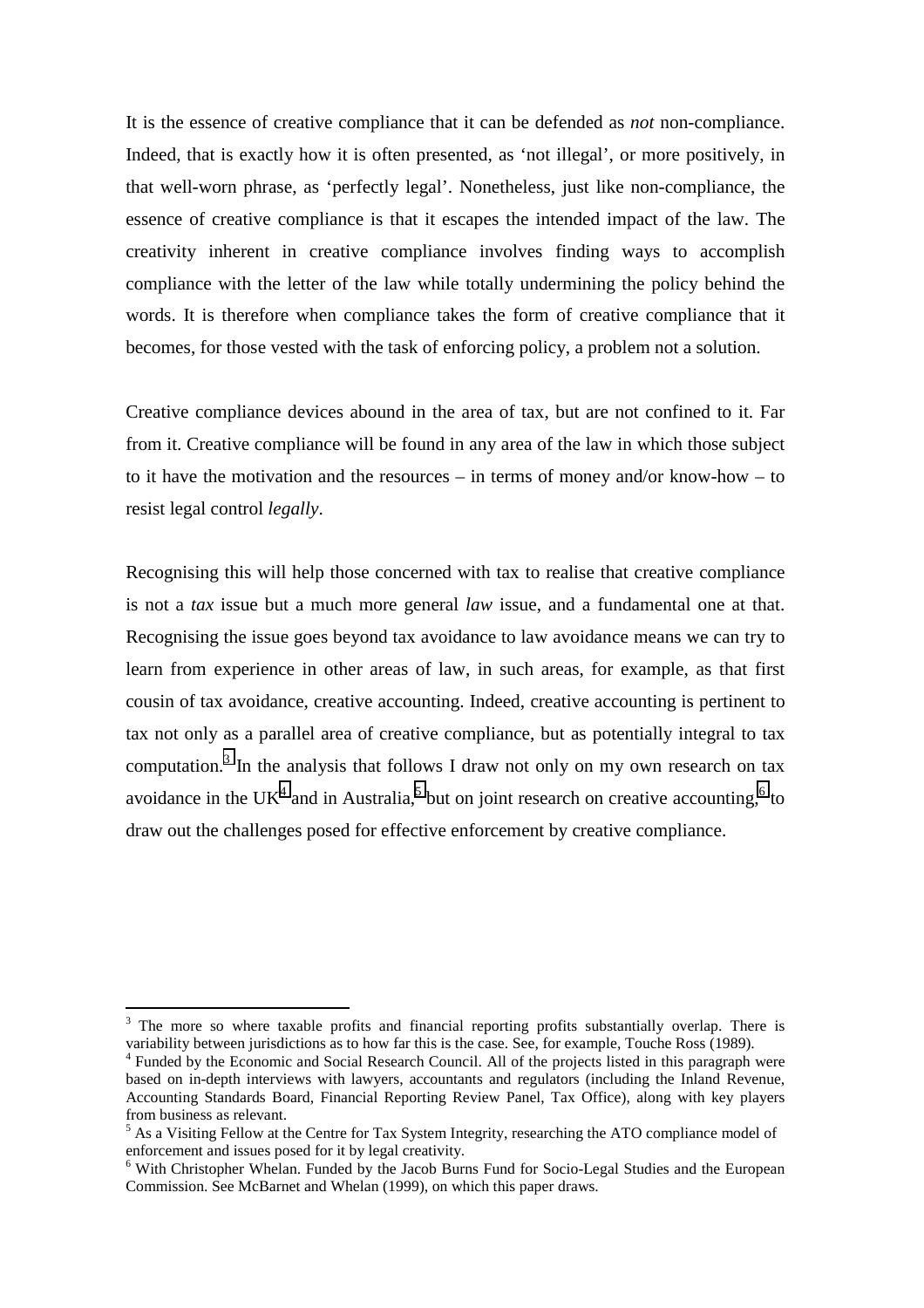It is the essence of creative compliance that it can be defended as *not* non-compliance. Indeed, that is exactly how it is often presented, as 'not illegal', or more positively, in that well-worn phrase, as 'perfectly legal'. Nonetheless, just like non-compliance, the essence of creative compliance is that it escapes the intended impact of the law. The creativity inherent in creative compliance involves finding ways to accomplish compliance with the letter of the law while totally undermining the policy behind the words. It is therefore when compliance takes the form of creative compliance that it becomes, for those vested with the task of enforcing policy, a problem not a solution.

Creative compliance devices abound in the area of tax, but are not confined to it. Far from it. Creative compliance will be found in any area of the law in which those subject to it have the motivation and the resources – in terms of money and/or know-how – to resist legal control *legally*.

Recognising this will help those concerned with tax to realise that creative compliance is not a *tax* issue but a much more general *law* issue, and a fundamental one at that. Recognising the issue goes beyond tax avoidance to law avoidance means we can try to learn from experience in other areas of law, in such areas, for example, as that first cousin of tax avoidance, creative accounting. Indeed, creative accounting is pertinent to tax not only as a parallel area of creative compliance, but as potentially integral to tax computation.<sup>3</sup> In the analysis that follows I draw not only on my own research on tax avoidance in the UK<sup>4</sup> and in Australia,<sup>5</sup> but on joint research on creative accounting,<sup>6</sup> to draw out the challenges posed for effective enforcement by creative compliance.

 $3$  The more so where taxable profits and financial reporting profits substantially overlap. There is variability between jurisdictions as to how far this is the case. See, for example, Touche Ross (1989).

<sup>&</sup>lt;sup>4</sup> Funded by the Economic and Social Research Council. All of the projects listed in this paragraph were based on in-depth interviews with lawyers, accountants and regulators (including the Inland Revenue, Accounting Standards Board, Financial Reporting Review Panel, Tax Office), along with key players from business as relevant.

<sup>&</sup>lt;sup>5</sup> As a Visiting Fellow at the Centre for Tax System Integrity, researching the ATO compliance model of enforcement and issues posed for it by legal creativity.

<sup>&</sup>lt;sup>6</sup> With Christopher Whelan. Funded by the Jacob Burns Fund for Socio-Legal Studies and the European Commission. See McBarnet and Whelan (1999), on which this paper draws.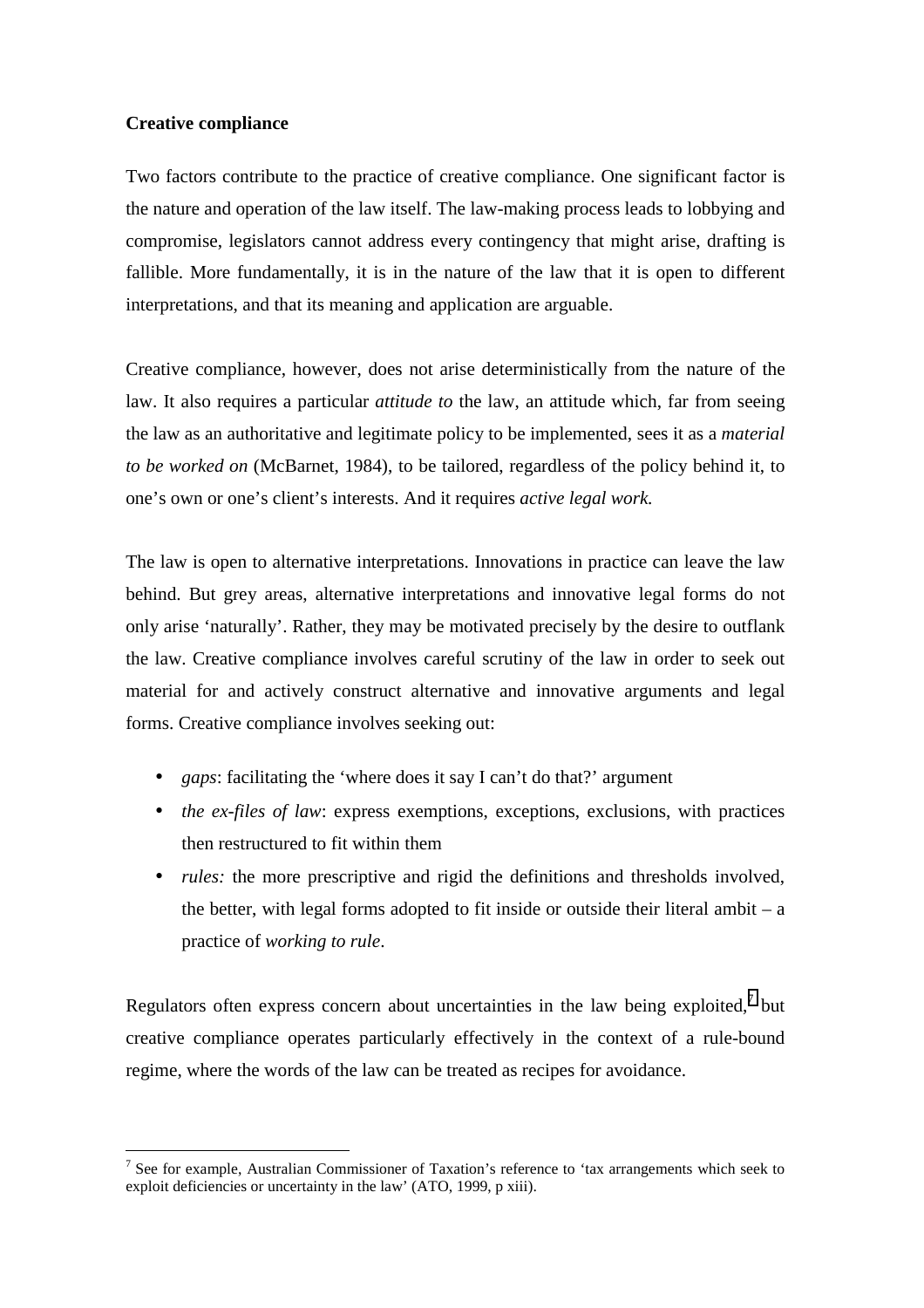#### **Creative compliance**

 $\overline{a}$ 

Two factors contribute to the practice of creative compliance. One significant factor is the nature and operation of the law itself. The law-making process leads to lobbying and compromise, legislators cannot address every contingency that might arise, drafting is fallible. More fundamentally, it is in the nature of the law that it is open to different interpretations, and that its meaning and application are arguable.

Creative compliance, however, does not arise deterministically from the nature of the law. It also requires a particular *attitude to* the law, an attitude which, far from seeing the law as an authoritative and legitimate policy to be implemented, sees it as a *material to be worked on* (McBarnet, 1984), to be tailored, regardless of the policy behind it, to one's own or one's client's interests. And it requires *active legal work.*

The law is open to alternative interpretations. Innovations in practice can leave the law behind. But grey areas, alternative interpretations and innovative legal forms do not only arise 'naturally'. Rather, they may be motivated precisely by the desire to outflank the law. Creative compliance involves careful scrutiny of the law in order to seek out material for and actively construct alternative and innovative arguments and legal forms. Creative compliance involves seeking out:

- *gaps*: facilitating the 'where does it say I can't do that?' argument
- *the ex-files of law*: express exemptions, exceptions, exclusions, with practices then restructured to fit within them
- *rules:* the more prescriptive and rigid the definitions and thresholds involved, the better, with legal forms adopted to fit inside or outside their literal ambit  $- a$ practice of *working to rule*.

Regulators often express concern about uncertainties in the law being exploited, $\frac{7}{1}$  but creative compliance operates particularly effectively in the context of a rule-bound regime, where the words of the law can be treated as recipes for avoidance.

<sup>&</sup>lt;sup>7</sup> See for example, Australian Commissioner of Taxation's reference to 'tax arrangements which seek to exploit deficiencies or uncertainty in the law' (ATO, 1999, p xiii).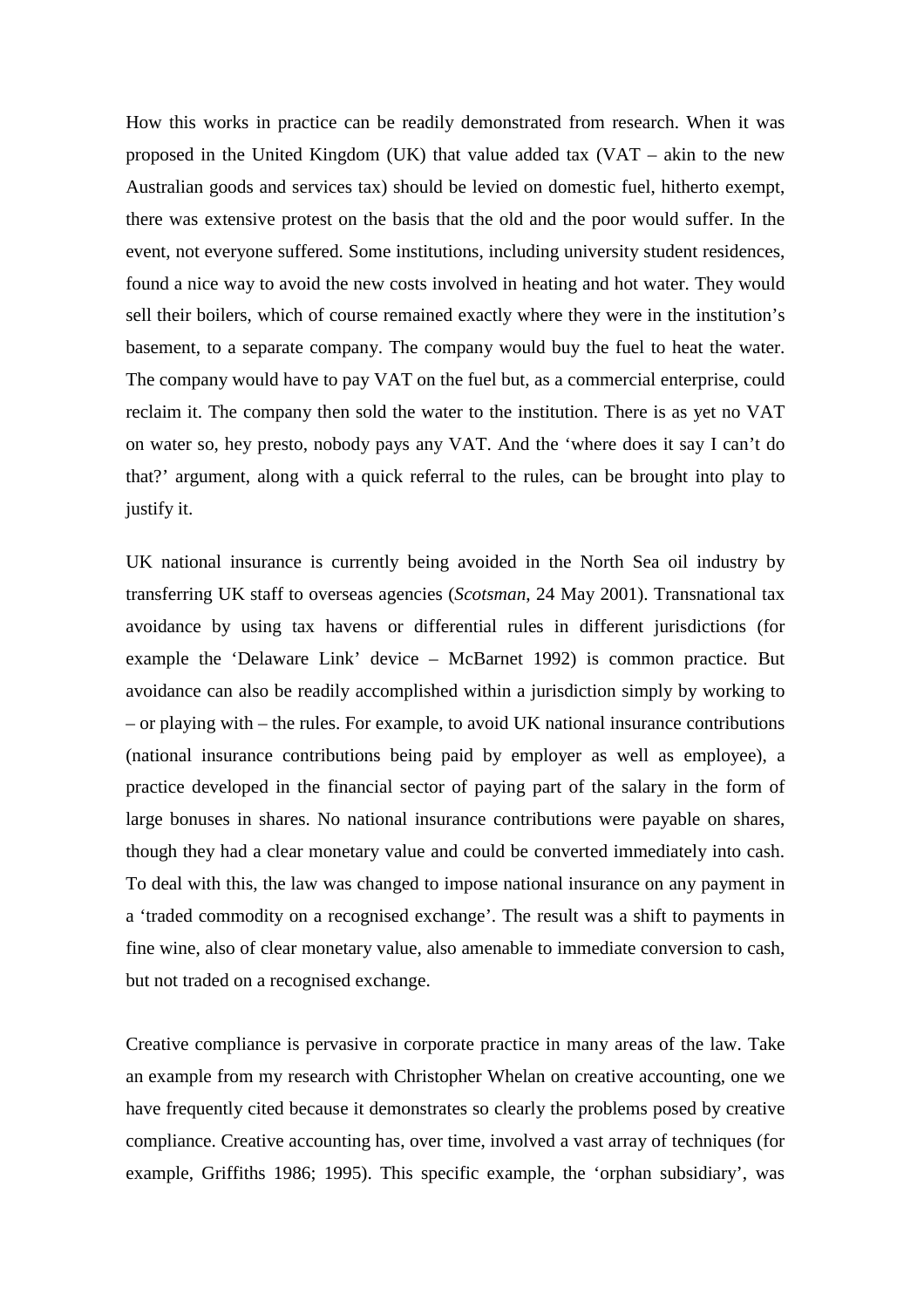How this works in practice can be readily demonstrated from research. When it was proposed in the United Kingdom (UK) that value added tax (VAT – akin to the new Australian goods and services tax) should be levied on domestic fuel, hitherto exempt, there was extensive protest on the basis that the old and the poor would suffer. In the event, not everyone suffered. Some institutions, including university student residences, found a nice way to avoid the new costs involved in heating and hot water. They would sell their boilers, which of course remained exactly where they were in the institution's basement, to a separate company. The company would buy the fuel to heat the water. The company would have to pay VAT on the fuel but, as a commercial enterprise, could reclaim it. The company then sold the water to the institution. There is as yet no VAT on water so, hey presto, nobody pays any VAT. And the 'where does it say I can't do that?' argument, along with a quick referral to the rules, can be brought into play to justify it.

UK national insurance is currently being avoided in the North Sea oil industry by transferring UK staff to overseas agencies (*Scotsman*, 24 May 2001). Transnational tax avoidance by using tax havens or differential rules in different jurisdictions (for example the 'Delaware Link' device – McBarnet 1992) is common practice. But avoidance can also be readily accomplished within a jurisdiction simply by working to – or playing with – the rules. For example, to avoid UK national insurance contributions (national insurance contributions being paid by employer as well as employee), a practice developed in the financial sector of paying part of the salary in the form of large bonuses in shares. No national insurance contributions were payable on shares, though they had a clear monetary value and could be converted immediately into cash. To deal with this, the law was changed to impose national insurance on any payment in a 'traded commodity on a recognised exchange'. The result was a shift to payments in fine wine, also of clear monetary value, also amenable to immediate conversion to cash, but not traded on a recognised exchange.

Creative compliance is pervasive in corporate practice in many areas of the law. Take an example from my research with Christopher Whelan on creative accounting, one we have frequently cited because it demonstrates so clearly the problems posed by creative compliance. Creative accounting has, over time, involved a vast array of techniques (for example, Griffiths 1986; 1995). This specific example, the 'orphan subsidiary', was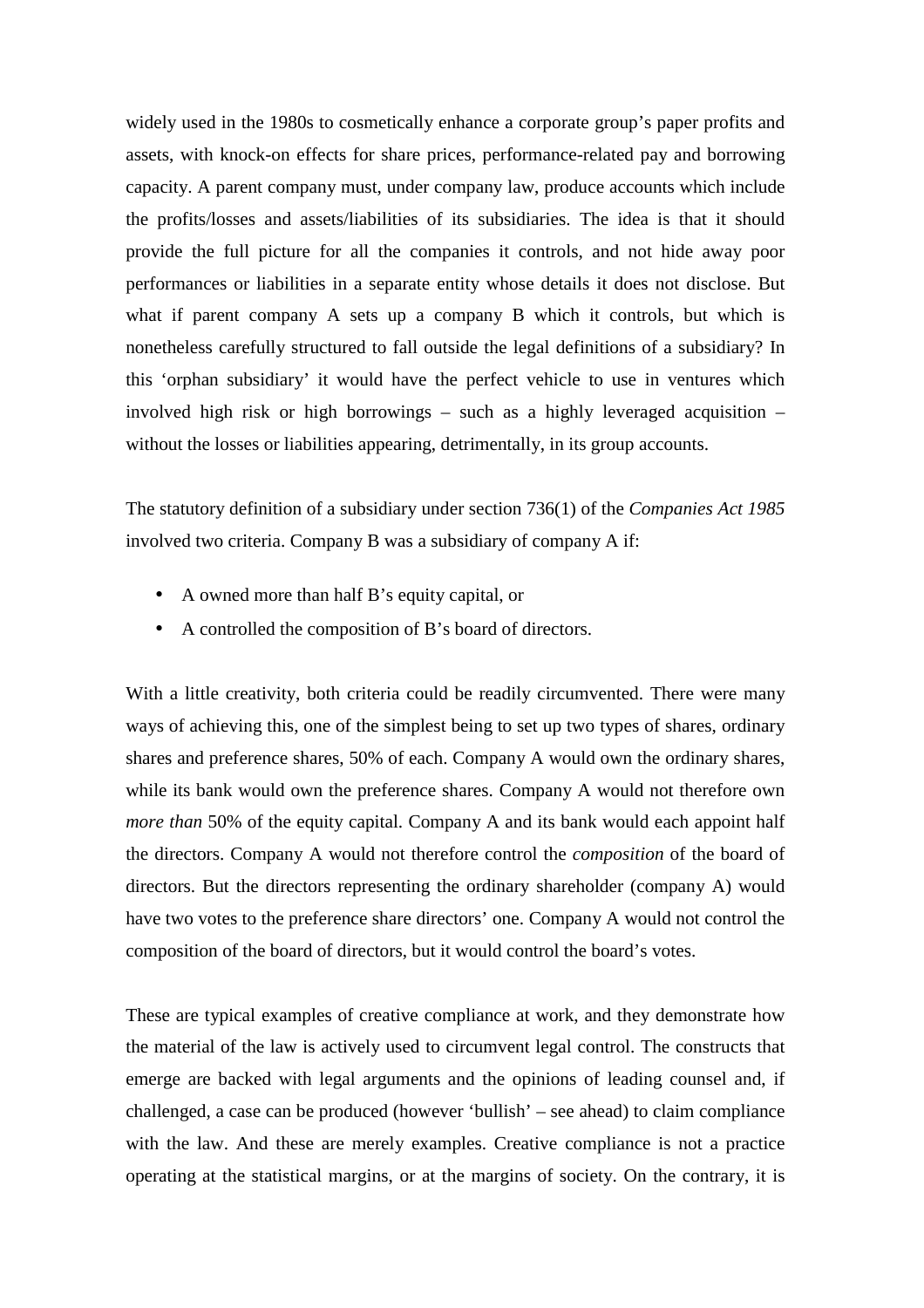widely used in the 1980s to cosmetically enhance a corporate group's paper profits and assets, with knock-on effects for share prices, performance-related pay and borrowing capacity. A parent company must, under company law, produce accounts which include the profits/losses and assets/liabilities of its subsidiaries. The idea is that it should provide the full picture for all the companies it controls, and not hide away poor performances or liabilities in a separate entity whose details it does not disclose. But what if parent company A sets up a company B which it controls, but which is nonetheless carefully structured to fall outside the legal definitions of a subsidiary? In this 'orphan subsidiary' it would have the perfect vehicle to use in ventures which involved high risk or high borrowings – such as a highly leveraged acquisition – without the losses or liabilities appearing, detrimentally, in its group accounts.

The statutory definition of a subsidiary under section 736(1) of the *Companies Act 1985* involved two criteria. Company B was a subsidiary of company A if:

- A owned more than half B's equity capital, or
- A controlled the composition of B's board of directors.

With a little creativity, both criteria could be readily circumvented. There were many ways of achieving this, one of the simplest being to set up two types of shares, ordinary shares and preference shares, 50% of each. Company A would own the ordinary shares, while its bank would own the preference shares. Company A would not therefore own *more than* 50% of the equity capital. Company A and its bank would each appoint half the directors. Company A would not therefore control the *composition* of the board of directors. But the directors representing the ordinary shareholder (company A) would have two votes to the preference share directors' one. Company A would not control the composition of the board of directors, but it would control the board's votes.

These are typical examples of creative compliance at work, and they demonstrate how the material of the law is actively used to circumvent legal control. The constructs that emerge are backed with legal arguments and the opinions of leading counsel and, if challenged, a case can be produced (however 'bullish' – see ahead) to claim compliance with the law. And these are merely examples. Creative compliance is not a practice operating at the statistical margins, or at the margins of society. On the contrary, it is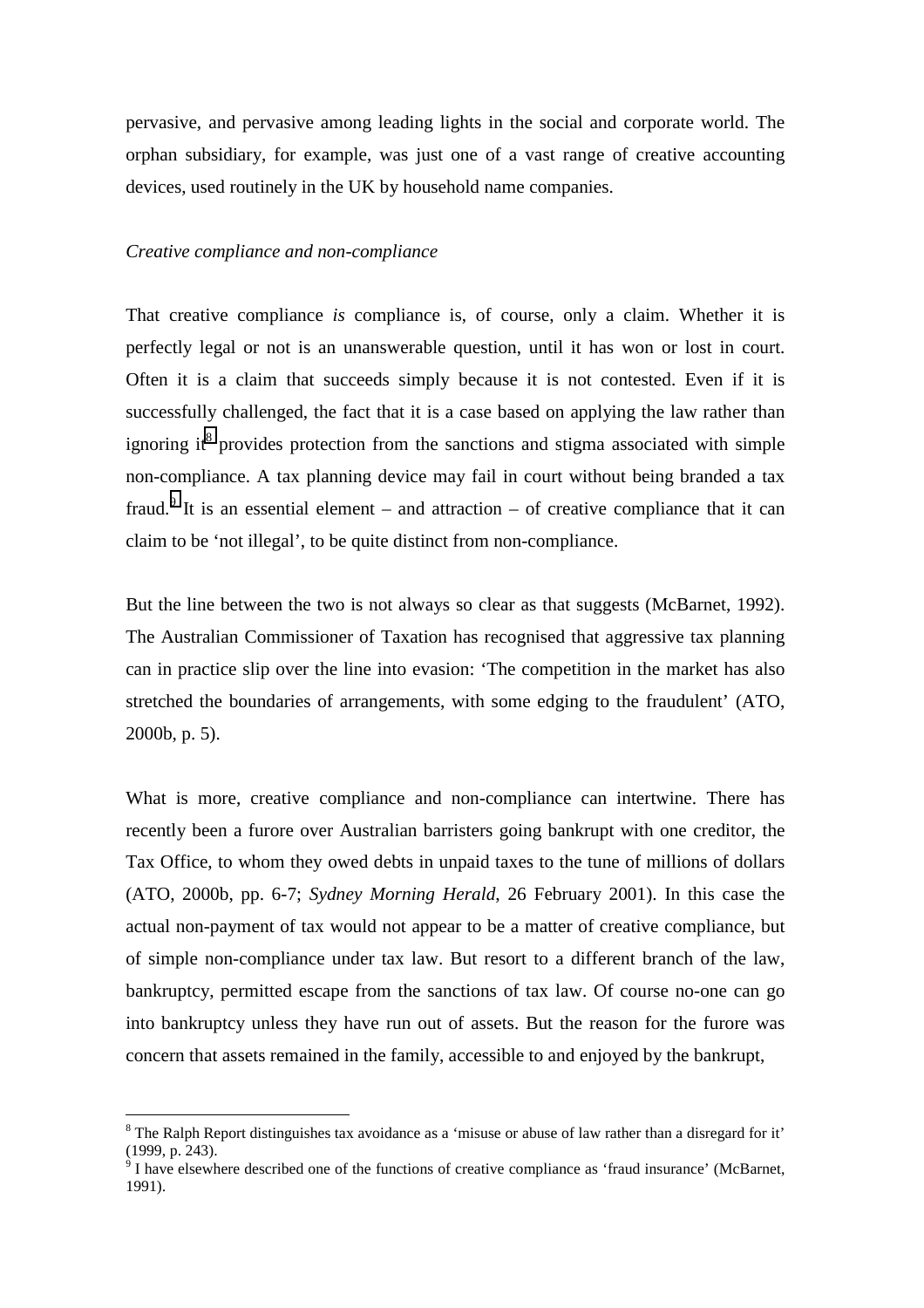pervasive, and pervasive among leading lights in the social and corporate world. The orphan subsidiary, for example, was just one of a vast range of creative accounting devices, used routinely in the UK by household name companies.

#### *Creative compliance and non-compliance*

 $\overline{a}$ 

That creative compliance *is* compliance is, of course, only a claim. Whether it is perfectly legal or not is an unanswerable question, until it has won or lost in court. Often it is a claim that succeeds simply because it is not contested. Even if it is successfully challenged, the fact that it is a case based on applying the law rather than ignoring it<sup>8</sup> provides protection from the sanctions and stigma associated with simple non-compliance. A tax planning device may fail in court without being branded a tax fraud.<sup>9</sup> It is an essential element – and attraction – of creative compliance that it can claim to be 'not illegal', to be quite distinct from non-compliance.

But the line between the two is not always so clear as that suggests (McBarnet, 1992). The Australian Commissioner of Taxation has recognised that aggressive tax planning can in practice slip over the line into evasion: 'The competition in the market has also stretched the boundaries of arrangements, with some edging to the fraudulent' (ATO, 2000b, p. 5).

What is more, creative compliance and non-compliance can intertwine. There has recently been a furore over Australian barristers going bankrupt with one creditor, the Tax Office, to whom they owed debts in unpaid taxes to the tune of millions of dollars (ATO, 2000b, pp. 6-7; *Sydney Morning Herald*, 26 February 2001). In this case the actual non-payment of tax would not appear to be a matter of creative compliance, but of simple non-compliance under tax law. But resort to a different branch of the law, bankruptcy, permitted escape from the sanctions of tax law. Of course no-one can go into bankruptcy unless they have run out of assets. But the reason for the furore was concern that assets remained in the family, accessible to and enjoyed by the bankrupt,

 $8$  The Ralph Report distinguishes tax avoidance as a 'misuse or abuse of law rather than a disregard for it' (1999, p. 243).

 $9^9$  I have elsewhere described one of the functions of creative compliance as 'fraud insurance' (McBarnet, 1991).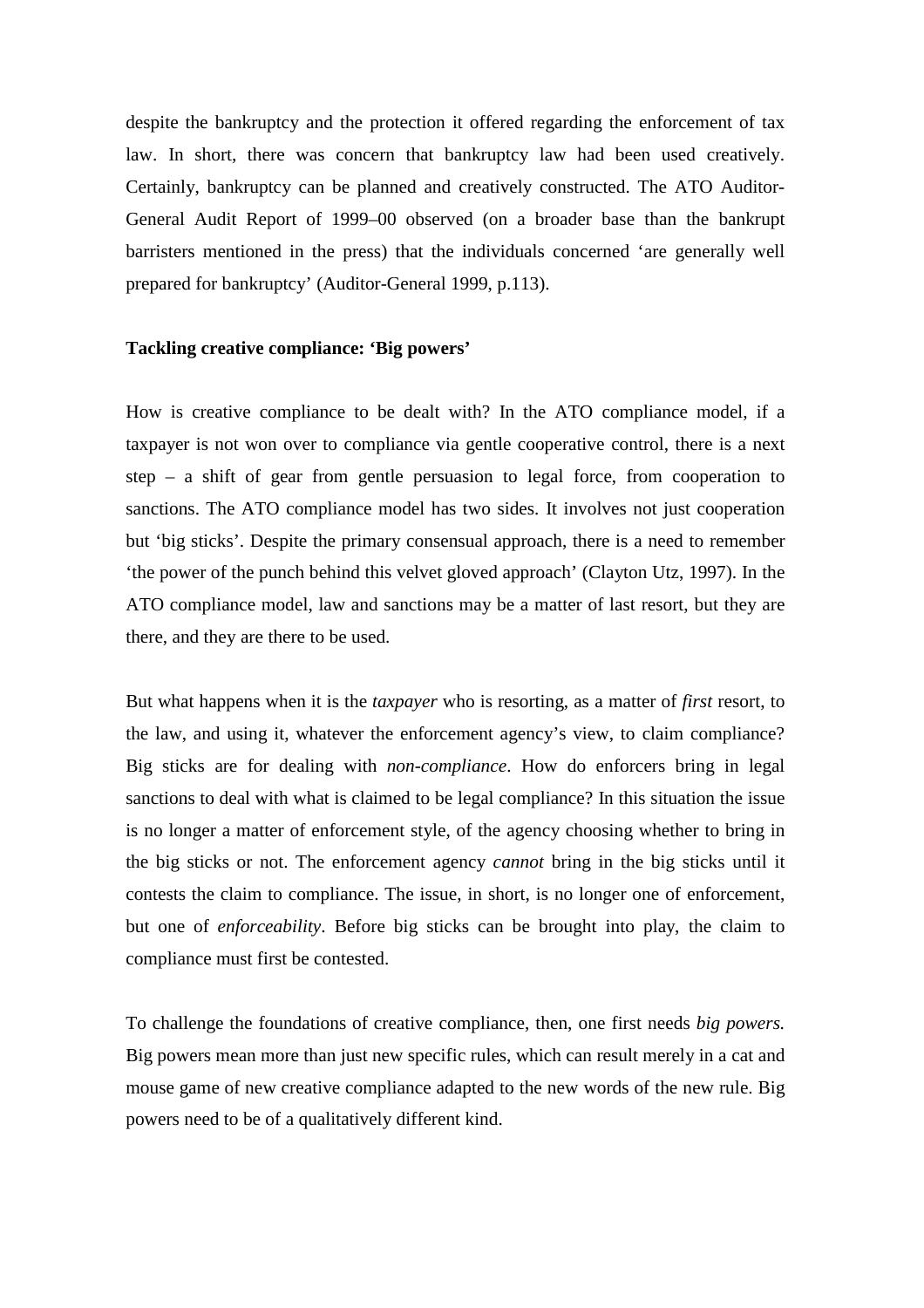despite the bankruptcy and the protection it offered regarding the enforcement of tax law. In short, there was concern that bankruptcy law had been used creatively. Certainly, bankruptcy can be planned and creatively constructed. The ATO Auditor-General Audit Report of 1999–00 observed (on a broader base than the bankrupt barristers mentioned in the press) that the individuals concerned 'are generally well prepared for bankruptcy' (Auditor-General 1999, p.113).

## **Tackling creative compliance: 'Big powers'**

How is creative compliance to be dealt with? In the ATO compliance model, if a taxpayer is not won over to compliance via gentle cooperative control, there is a next step – a shift of gear from gentle persuasion to legal force, from cooperation to sanctions. The ATO compliance model has two sides. It involves not just cooperation but 'big sticks'. Despite the primary consensual approach, there is a need to remember 'the power of the punch behind this velvet gloved approach' (Clayton Utz, 1997). In the ATO compliance model, law and sanctions may be a matter of last resort, but they are there, and they are there to be used.

But what happens when it is the *taxpayer* who is resorting, as a matter of *first* resort, to the law, and using it, whatever the enforcement agency's view, to claim compliance? Big sticks are for dealing with *non-compliance*. How do enforcers bring in legal sanctions to deal with what is claimed to be legal compliance? In this situation the issue is no longer a matter of enforcement style, of the agency choosing whether to bring in the big sticks or not. The enforcement agency *cannot* bring in the big sticks until it contests the claim to compliance. The issue, in short, is no longer one of enforcement, but one of *enforceability*. Before big sticks can be brought into play, the claim to compliance must first be contested.

To challenge the foundations of creative compliance, then, one first needs *big powers.* Big powers mean more than just new specific rules, which can result merely in a cat and mouse game of new creative compliance adapted to the new words of the new rule. Big powers need to be of a qualitatively different kind.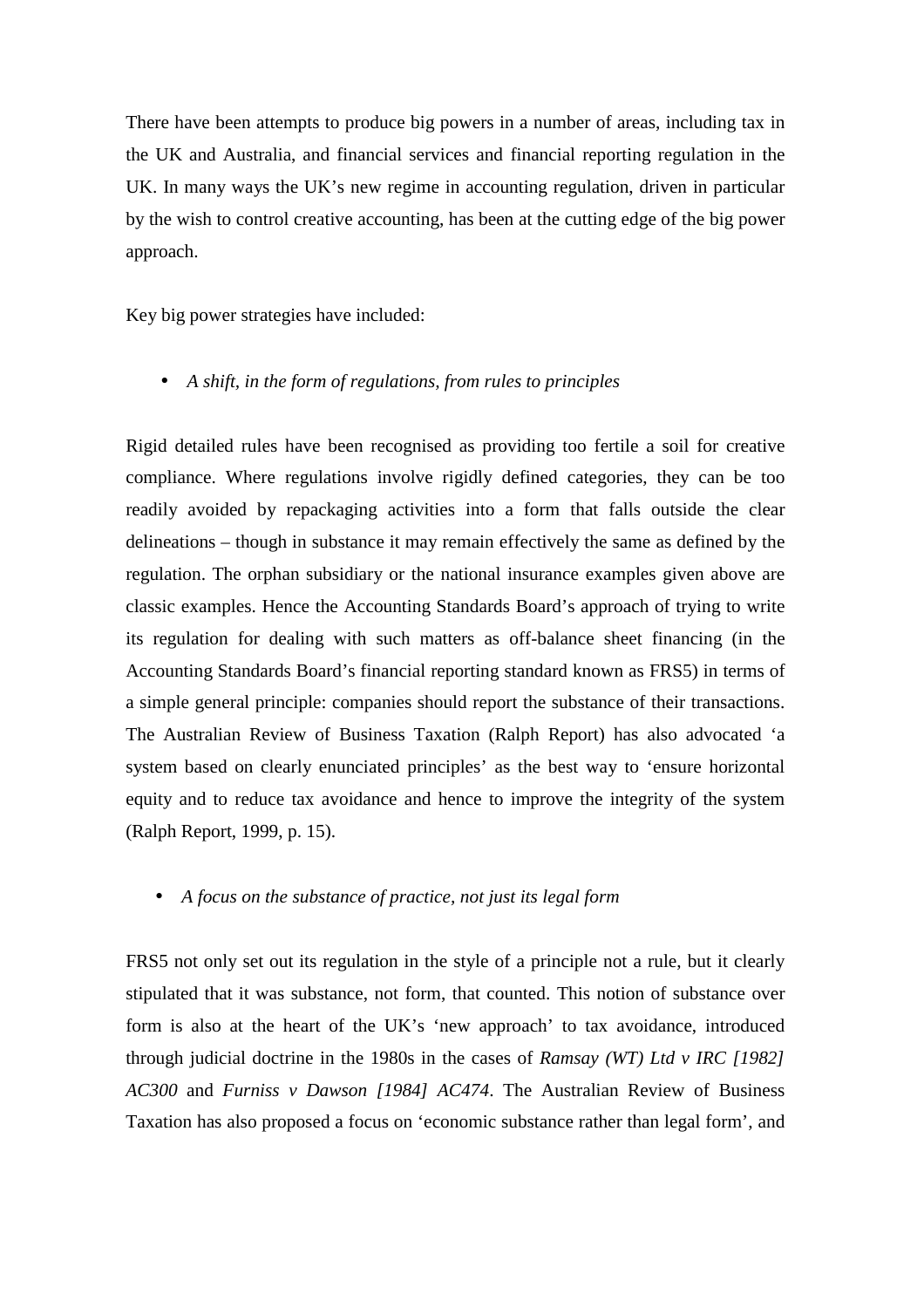There have been attempts to produce big powers in a number of areas, including tax in the UK and Australia, and financial services and financial reporting regulation in the UK. In many ways the UK's new regime in accounting regulation, driven in particular by the wish to control creative accounting, has been at the cutting edge of the big power approach.

Key big power strategies have included:

• *A shift, in the form of regulations, from rules to principles*

Rigid detailed rules have been recognised as providing too fertile a soil for creative compliance. Where regulations involve rigidly defined categories, they can be too readily avoided by repackaging activities into a form that falls outside the clear delineations – though in substance it may remain effectively the same as defined by the regulation. The orphan subsidiary or the national insurance examples given above are classic examples. Hence the Accounting Standards Board's approach of trying to write its regulation for dealing with such matters as off-balance sheet financing (in the Accounting Standards Board's financial reporting standard known as FRS5) in terms of a simple general principle: companies should report the substance of their transactions. The Australian Review of Business Taxation (Ralph Report) has also advocated 'a system based on clearly enunciated principles' as the best way to 'ensure horizontal equity and to reduce tax avoidance and hence to improve the integrity of the system (Ralph Report, 1999, p. 15).

## • *A focus on the substance of practice, not just its legal form*

FRS5 not only set out its regulation in the style of a principle not a rule, but it clearly stipulated that it was substance, not form, that counted. This notion of substance over form is also at the heart of the UK's 'new approach' to tax avoidance, introduced through judicial doctrine in the 1980s in the cases of *Ramsay (WT) Ltd v IRC [1982] AC300* and *Furniss v Dawson [1984] AC474*. The Australian Review of Business Taxation has also proposed a focus on 'economic substance rather than legal form', and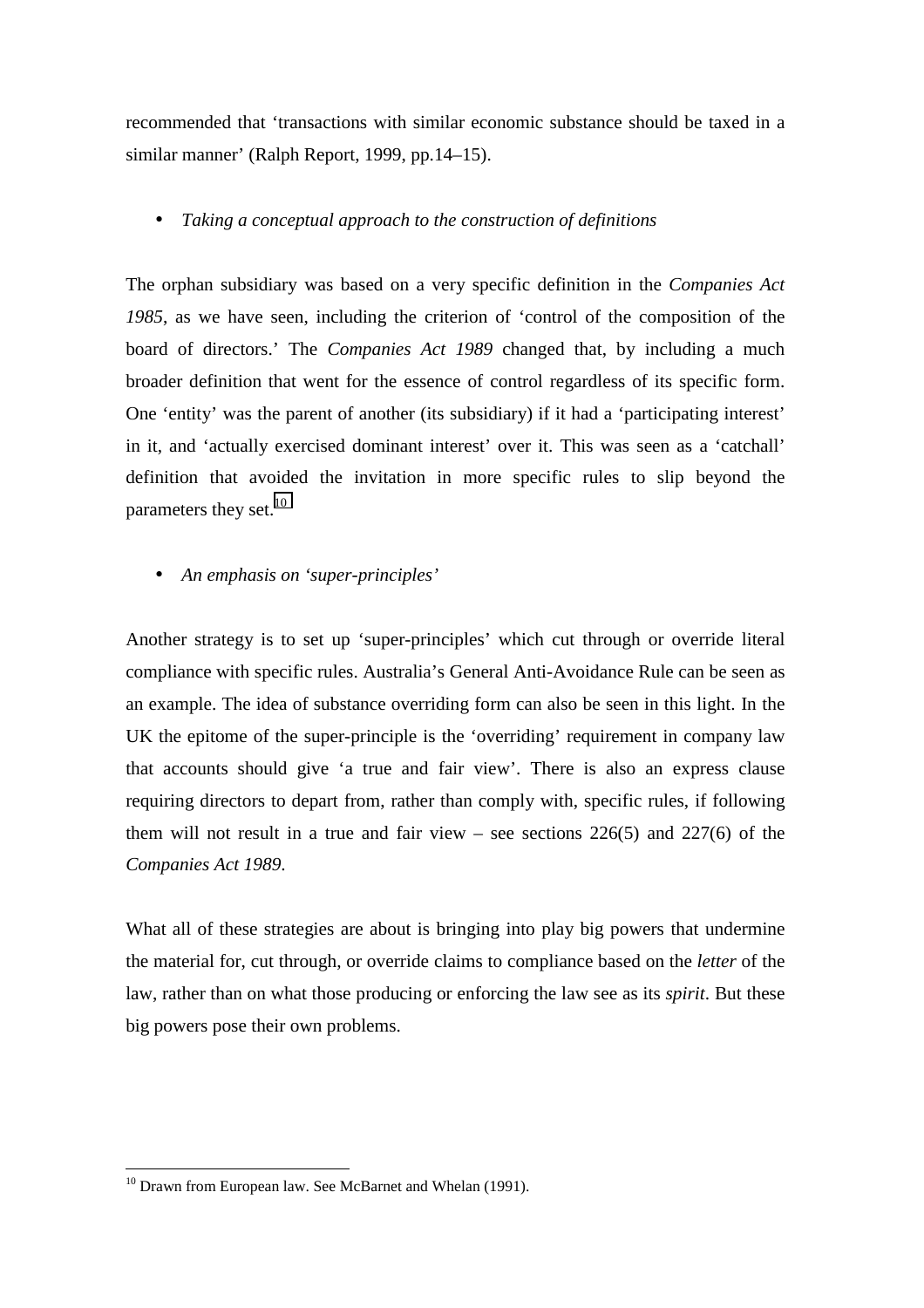recommended that 'transactions with similar economic substance should be taxed in a similar manner' (Ralph Report, 1999, pp.14–15).

## • *Taking a conceptual approach to the construction of definitions*

The orphan subsidiary was based on a very specific definition in the *Companies Act 1985*, as we have seen, including the criterion of 'control of the composition of the board of directors.' The *Companies Act 1989* changed that, by including a much broader definition that went for the essence of control regardless of its specific form. One 'entity' was the parent of another (its subsidiary) if it had a 'participating interest' in it, and 'actually exercised dominant interest' over it. This was seen as a 'catchall' definition that avoided the invitation in more specific rules to slip beyond the parameters they set. $10$ 

## • *An emphasis on 'super-principles'*

Another strategy is to set up 'super-principles' which cut through or override literal compliance with specific rules. Australia's General Anti-Avoidance Rule can be seen as an example. The idea of substance overriding form can also be seen in this light. In the UK the epitome of the super-principle is the 'overriding' requirement in company law that accounts should give 'a true and fair view'. There is also an express clause requiring directors to depart from, rather than comply with, specific rules, if following them will not result in a true and fair view – see sections  $226(5)$  and  $227(6)$  of the *Companies Act 1989*.

What all of these strategies are about is bringing into play big powers that undermine the material for, cut through, or override claims to compliance based on the *letter* of the law, rather than on what those producing or enforcing the law see as its *spirit*. But these big powers pose their own problems.

<sup>&</sup>lt;sup>10</sup> Drawn from European law. See McBarnet and Whelan (1991).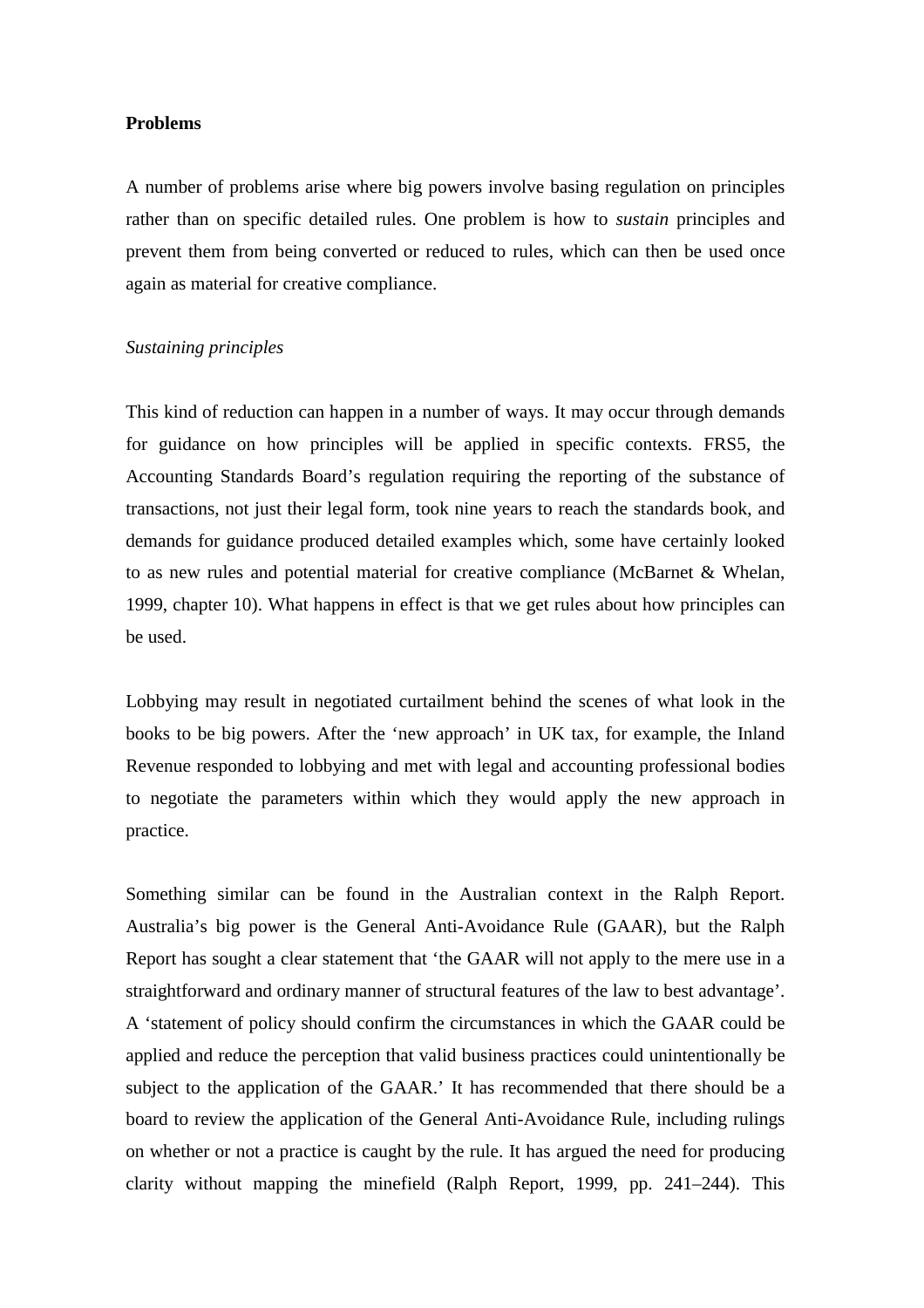#### **Problems**

A number of problems arise where big powers involve basing regulation on principles rather than on specific detailed rules. One problem is how to *sustain* principles and prevent them from being converted or reduced to rules, which can then be used once again as material for creative compliance.

#### *Sustaining principles*

This kind of reduction can happen in a number of ways. It may occur through demands for guidance on how principles will be applied in specific contexts. FRS5, the Accounting Standards Board's regulation requiring the reporting of the substance of transactions, not just their legal form, took nine years to reach the standards book, and demands for guidance produced detailed examples which, some have certainly looked to as new rules and potential material for creative compliance (McBarnet & Whelan, 1999, chapter 10). What happens in effect is that we get rules about how principles can be used.

Lobbying may result in negotiated curtailment behind the scenes of what look in the books to be big powers. After the 'new approach' in UK tax, for example, the Inland Revenue responded to lobbying and met with legal and accounting professional bodies to negotiate the parameters within which they would apply the new approach in practice.

Something similar can be found in the Australian context in the Ralph Report. Australia's big power is the General Anti-Avoidance Rule (GAAR), but the Ralph Report has sought a clear statement that 'the GAAR will not apply to the mere use in a straightforward and ordinary manner of structural features of the law to best advantage'. A 'statement of policy should confirm the circumstances in which the GAAR could be applied and reduce the perception that valid business practices could unintentionally be subject to the application of the GAAR.' It has recommended that there should be a board to review the application of the General Anti-Avoidance Rule, including rulings on whether or not a practice is caught by the rule. It has argued the need for producing clarity without mapping the minefield (Ralph Report, 1999, pp. 241–244). This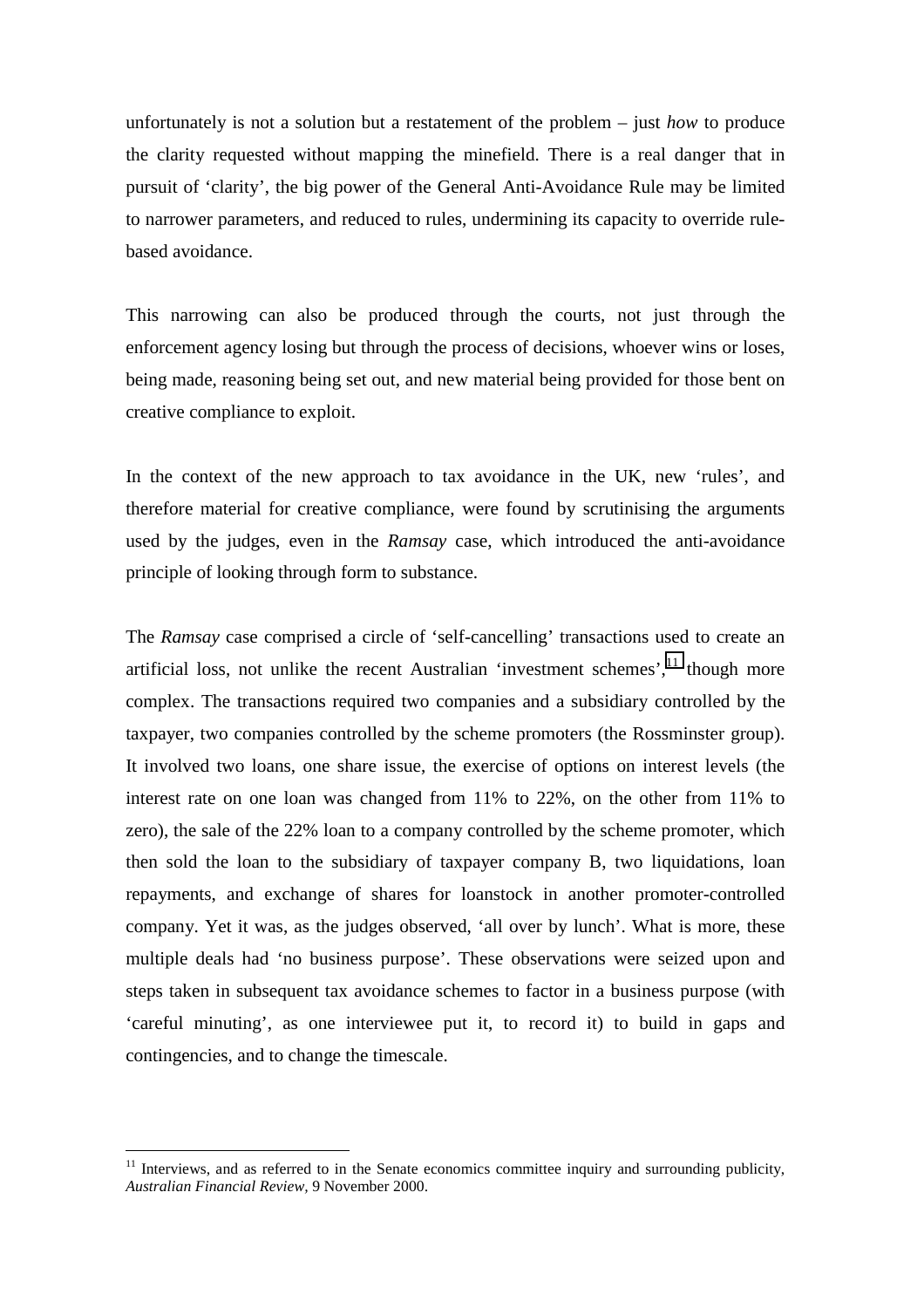unfortunately is not a solution but a restatement of the problem – just *how* to produce the clarity requested without mapping the minefield. There is a real danger that in pursuit of 'clarity', the big power of the General Anti-Avoidance Rule may be limited to narrower parameters, and reduced to rules, undermining its capacity to override rulebased avoidance.

This narrowing can also be produced through the courts, not just through the enforcement agency losing but through the process of decisions, whoever wins or loses, being made, reasoning being set out, and new material being provided for those bent on creative compliance to exploit.

In the context of the new approach to tax avoidance in the UK, new 'rules', and therefore material for creative compliance, were found by scrutinising the arguments used by the judges, even in the *Ramsay* case, which introduced the anti-avoidance principle of looking through form to substance.

The *Ramsay* case comprised a circle of 'self-cancelling' transactions used to create an artificial loss, not unlike the recent Australian 'investment schemes', $11$  though more complex. The transactions required two companies and a subsidiary controlled by the taxpayer, two companies controlled by the scheme promoters (the Rossminster group). It involved two loans, one share issue, the exercise of options on interest levels (the interest rate on one loan was changed from 11% to 22%, on the other from 11% to zero), the sale of the 22% loan to a company controlled by the scheme promoter, which then sold the loan to the subsidiary of taxpayer company B, two liquidations, loan repayments, and exchange of shares for loanstock in another promoter-controlled company. Yet it was, as the judges observed, 'all over by lunch'. What is more, these multiple deals had 'no business purpose'. These observations were seized upon and steps taken in subsequent tax avoidance schemes to factor in a business purpose (with 'careful minuting', as one interviewee put it, to record it) to build in gaps and contingencies, and to change the timescale.

 $11$  Interviews, and as referred to in the Senate economics committee inquiry and surrounding publicity, *Australian Financial Review,* 9 November 2000.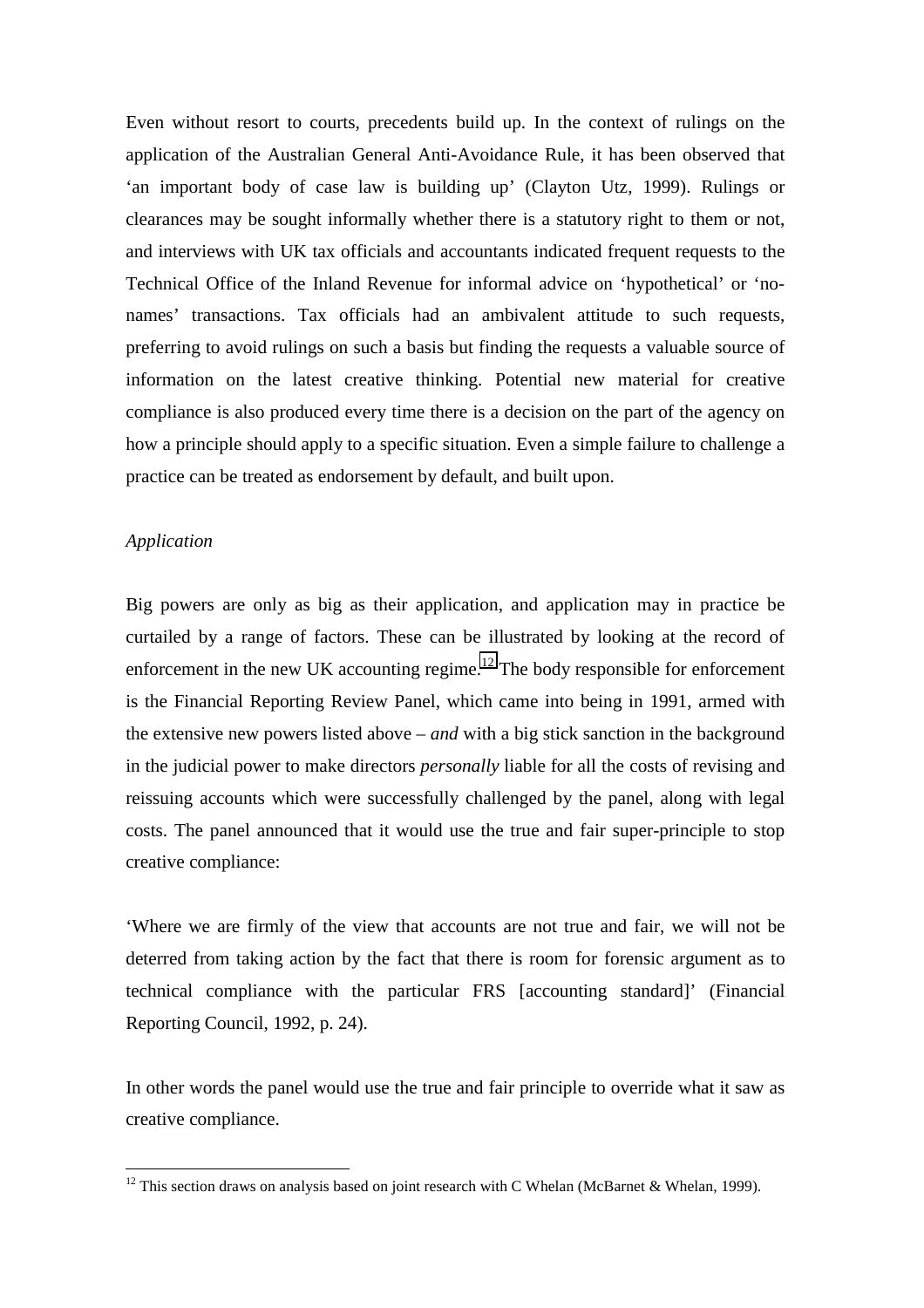Even without resort to courts, precedents build up. In the context of rulings on the application of the Australian General Anti-Avoidance Rule, it has been observed that 'an important body of case law is building up' (Clayton Utz, 1999). Rulings or clearances may be sought informally whether there is a statutory right to them or not, and interviews with UK tax officials and accountants indicated frequent requests to the Technical Office of the Inland Revenue for informal advice on 'hypothetical' or 'nonames' transactions. Tax officials had an ambivalent attitude to such requests, preferring to avoid rulings on such a basis but finding the requests a valuable source of information on the latest creative thinking. Potential new material for creative compliance is also produced every time there is a decision on the part of the agency on how a principle should apply to a specific situation. Even a simple failure to challenge a practice can be treated as endorsement by default, and built upon.

#### *Application*

 $\overline{a}$ 

Big powers are only as big as their application, and application may in practice be curtailed by a range of factors. These can be illustrated by looking at the record of enforcement in the new UK accounting regime.<sup>12</sup> The body responsible for enforcement is the Financial Reporting Review Panel, which came into being in 1991, armed with the extensive new powers listed above – *and* with a big stick sanction in the background in the judicial power to make directors *personally* liable for all the costs of revising and reissuing accounts which were successfully challenged by the panel, along with legal costs. The panel announced that it would use the true and fair super-principle to stop creative compliance:

'Where we are firmly of the view that accounts are not true and fair, we will not be deterred from taking action by the fact that there is room for forensic argument as to technical compliance with the particular FRS [accounting standard]' (Financial Reporting Council, 1992, p. 24).

In other words the panel would use the true and fair principle to override what it saw as creative compliance.

<sup>&</sup>lt;sup>12</sup> This section draws on analysis based on joint research with C Whelan (McBarnet & Whelan, 1999).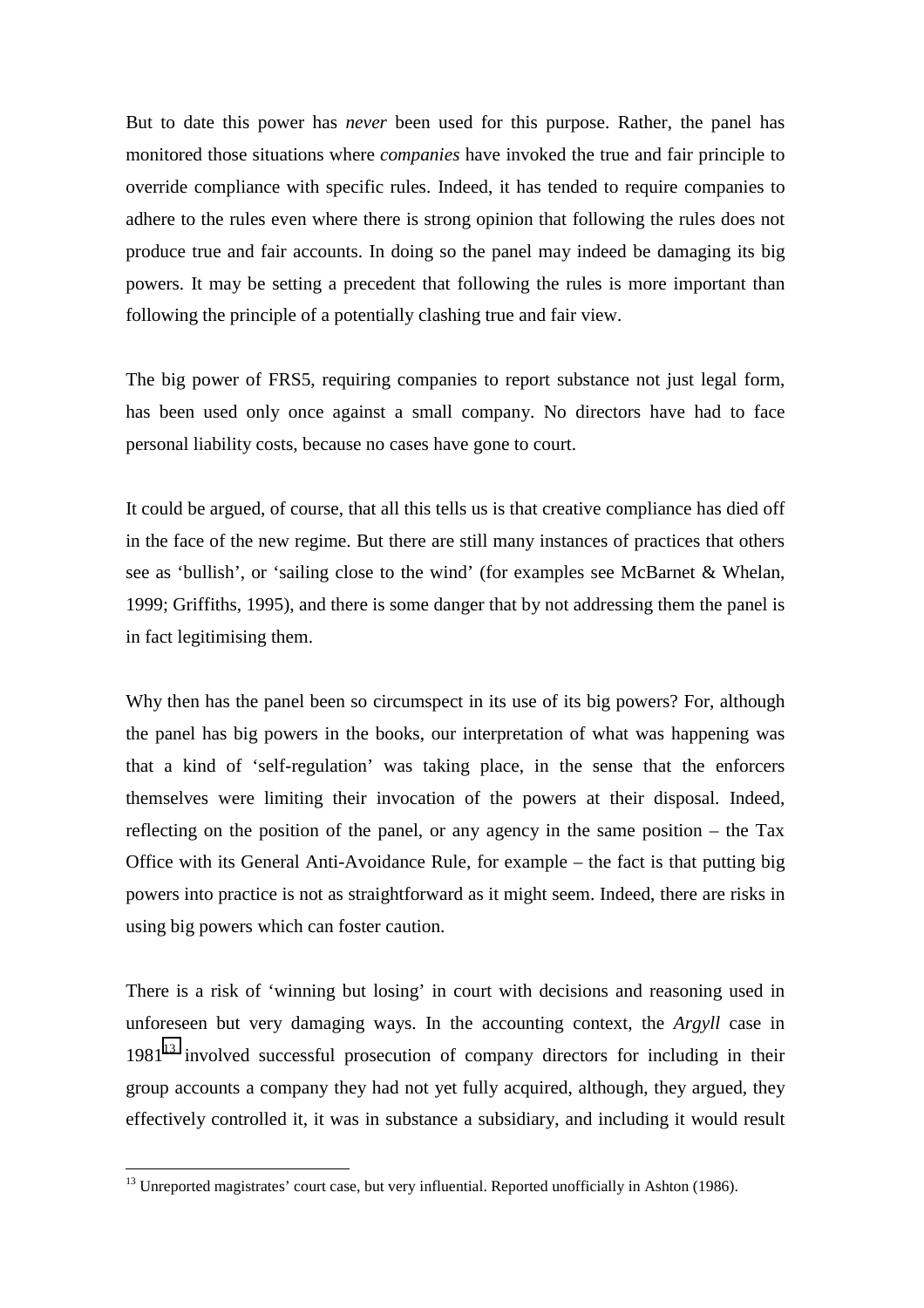But to date this power has *never* been used for this purpose. Rather, the panel has monitored those situations where *companies* have invoked the true and fair principle to override compliance with specific rules. Indeed, it has tended to require companies to adhere to the rules even where there is strong opinion that following the rules does not produce true and fair accounts. In doing so the panel may indeed be damaging its big powers. It may be setting a precedent that following the rules is more important than following the principle of a potentially clashing true and fair view.

The big power of FRS5, requiring companies to report substance not just legal form, has been used only once against a small company. No directors have had to face personal liability costs, because no cases have gone to court.

It could be argued, of course, that all this tells us is that creative compliance has died off in the face of the new regime. But there are still many instances of practices that others see as 'bullish', or 'sailing close to the wind' (for examples see McBarnet & Whelan, 1999; Griffiths, 1995), and there is some danger that by not addressing them the panel is in fact legitimising them.

Why then has the panel been so circumspect in its use of its big powers? For, although the panel has big powers in the books, our interpretation of what was happening was that a kind of 'self-regulation' was taking place, in the sense that the enforcers themselves were limiting their invocation of the powers at their disposal. Indeed, reflecting on the position of the panel, or any agency in the same position – the Tax Office with its General Anti-Avoidance Rule, for example – the fact is that putting big powers into practice is not as straightforward as it might seem. Indeed, there are risks in using big powers which can foster caution.

There is a risk of 'winning but losing' in court with decisions and reasoning used in unforeseen but very damaging ways. In the accounting context, the *Argyll* case in  $1981<sup>13</sup>$  involved successful prosecution of company directors for including in their group accounts a company they had not yet fully acquired, although, they argued, they effectively controlled it, it was in substance a subsidiary, and including it would result

<sup>&</sup>lt;sup>13</sup> Unreported magistrates' court case, but very influential. Reported unofficially in Ashton (1986).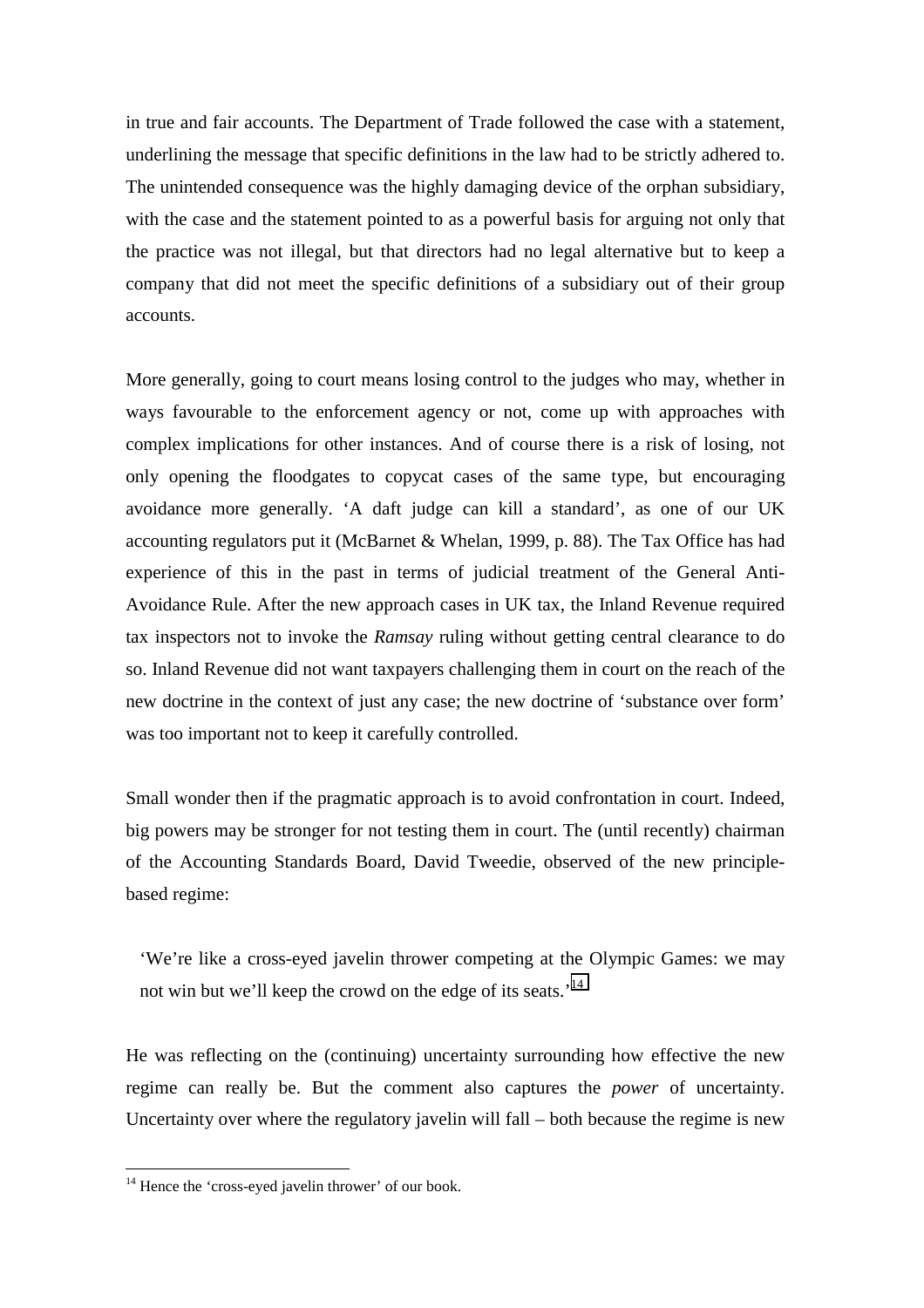in true and fair accounts. The Department of Trade followed the case with a statement, underlining the message that specific definitions in the law had to be strictly adhered to. The unintended consequence was the highly damaging device of the orphan subsidiary, with the case and the statement pointed to as a powerful basis for arguing not only that the practice was not illegal, but that directors had no legal alternative but to keep a company that did not meet the specific definitions of a subsidiary out of their group accounts.

More generally, going to court means losing control to the judges who may, whether in ways favourable to the enforcement agency or not, come up with approaches with complex implications for other instances. And of course there is a risk of losing, not only opening the floodgates to copycat cases of the same type, but encouraging avoidance more generally. 'A daft judge can kill a standard', as one of our UK accounting regulators put it (McBarnet & Whelan, 1999, p. 88). The Tax Office has had experience of this in the past in terms of judicial treatment of the General Anti-Avoidance Rule. After the new approach cases in UK tax, the Inland Revenue required tax inspectors not to invoke the *Ramsay* ruling without getting central clearance to do so. Inland Revenue did not want taxpayers challenging them in court on the reach of the new doctrine in the context of just any case; the new doctrine of 'substance over form' was too important not to keep it carefully controlled.

Small wonder then if the pragmatic approach is to avoid confrontation in court. Indeed, big powers may be stronger for not testing them in court. The (until recently) chairman of the Accounting Standards Board, David Tweedie, observed of the new principlebased regime:

'We're like a cross-eyed javelin thrower competing at the Olympic Games: we may not win but we'll keep the crowd on the edge of its seats.<sup>'14</sup>

He was reflecting on the (continuing) uncertainty surrounding how effective the new regime can really be. But the comment also captures the *power* of uncertainty. Uncertainty over where the regulatory javelin will fall – both because the regime is new

 $14$  Hence the 'cross-eyed javelin thrower' of our book.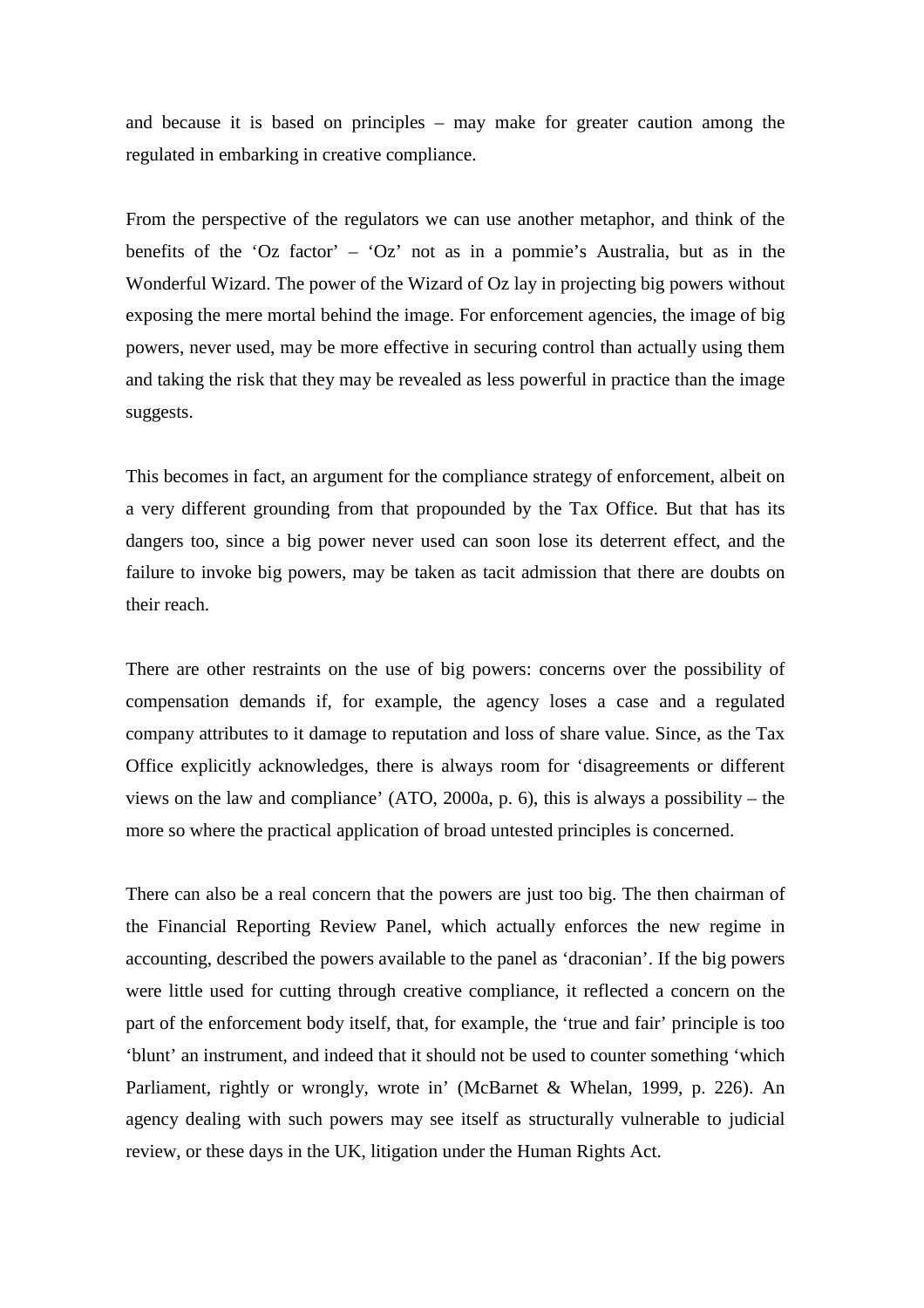and because it is based on principles – may make for greater caution among the regulated in embarking in creative compliance.

From the perspective of the regulators we can use another metaphor, and think of the benefits of the 'Oz factor' – 'Oz' not as in a pommie's Australia, but as in the Wonderful Wizard. The power of the Wizard of Oz lay in projecting big powers without exposing the mere mortal behind the image. For enforcement agencies, the image of big powers, never used, may be more effective in securing control than actually using them and taking the risk that they may be revealed as less powerful in practice than the image suggests.

This becomes in fact, an argument for the compliance strategy of enforcement, albeit on a very different grounding from that propounded by the Tax Office. But that has its dangers too, since a big power never used can soon lose its deterrent effect, and the failure to invoke big powers, may be taken as tacit admission that there are doubts on their reach.

There are other restraints on the use of big powers: concerns over the possibility of compensation demands if, for example, the agency loses a case and a regulated company attributes to it damage to reputation and loss of share value. Since, as the Tax Office explicitly acknowledges, there is always room for 'disagreements or different views on the law and compliance' (ATO, 2000a, p. 6), this is always a possibility – the more so where the practical application of broad untested principles is concerned.

There can also be a real concern that the powers are just too big. The then chairman of the Financial Reporting Review Panel, which actually enforces the new regime in accounting, described the powers available to the panel as 'draconian'. If the big powers were little used for cutting through creative compliance, it reflected a concern on the part of the enforcement body itself, that, for example, the 'true and fair' principle is too 'blunt' an instrument, and indeed that it should not be used to counter something 'which Parliament, rightly or wrongly, wrote in' (McBarnet & Whelan, 1999, p. 226). An agency dealing with such powers may see itself as structurally vulnerable to judicial review, or these days in the UK, litigation under the Human Rights Act.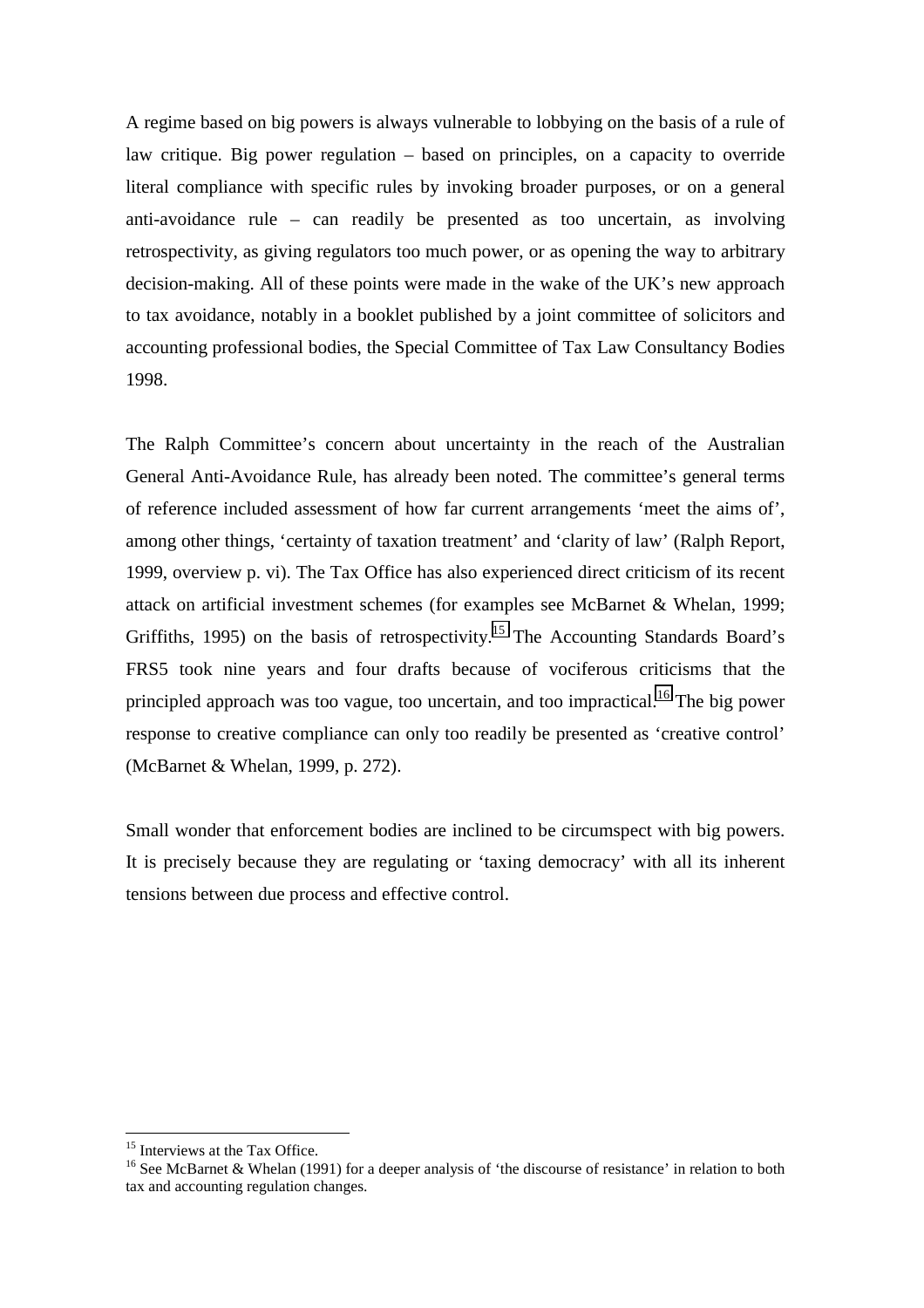A regime based on big powers is always vulnerable to lobbying on the basis of a rule of law critique. Big power regulation – based on principles, on a capacity to override literal compliance with specific rules by invoking broader purposes, or on a general anti-avoidance rule – can readily be presented as too uncertain, as involving retrospectivity, as giving regulators too much power, or as opening the way to arbitrary decision-making. All of these points were made in the wake of the UK's new approach to tax avoidance, notably in a booklet published by a joint committee of solicitors and accounting professional bodies, the Special Committee of Tax Law Consultancy Bodies 1998.

The Ralph Committee's concern about uncertainty in the reach of the Australian General Anti-Avoidance Rule, has already been noted. The committee's general terms of reference included assessment of how far current arrangements 'meet the aims of', among other things, 'certainty of taxation treatment' and 'clarity of law' (Ralph Report, 1999, overview p. vi). The Tax Office has also experienced direct criticism of its recent attack on artificial investment schemes (for examples see McBarnet & Whelan, 1999; Griffiths, 1995) on the basis of retrospectivity.<sup>15</sup> The Accounting Standards Board's FRS5 took nine years and four drafts because of vociferous criticisms that the principled approach was too vague, too uncertain, and too impractical.<sup>16</sup> The big power response to creative compliance can only too readily be presented as 'creative control' (McBarnet & Whelan, 1999, p. 272).

Small wonder that enforcement bodies are inclined to be circumspect with big powers. It is precisely because they are regulating or 'taxing democracy' with all its inherent tensions between due process and effective control.

<sup>&</sup>lt;sup>15</sup> Interviews at the Tax Office.

<sup>&</sup>lt;sup>16</sup> See McBarnet & Whelan (1991) for a deeper analysis of 'the discourse of resistance' in relation to both tax and accounting regulation changes.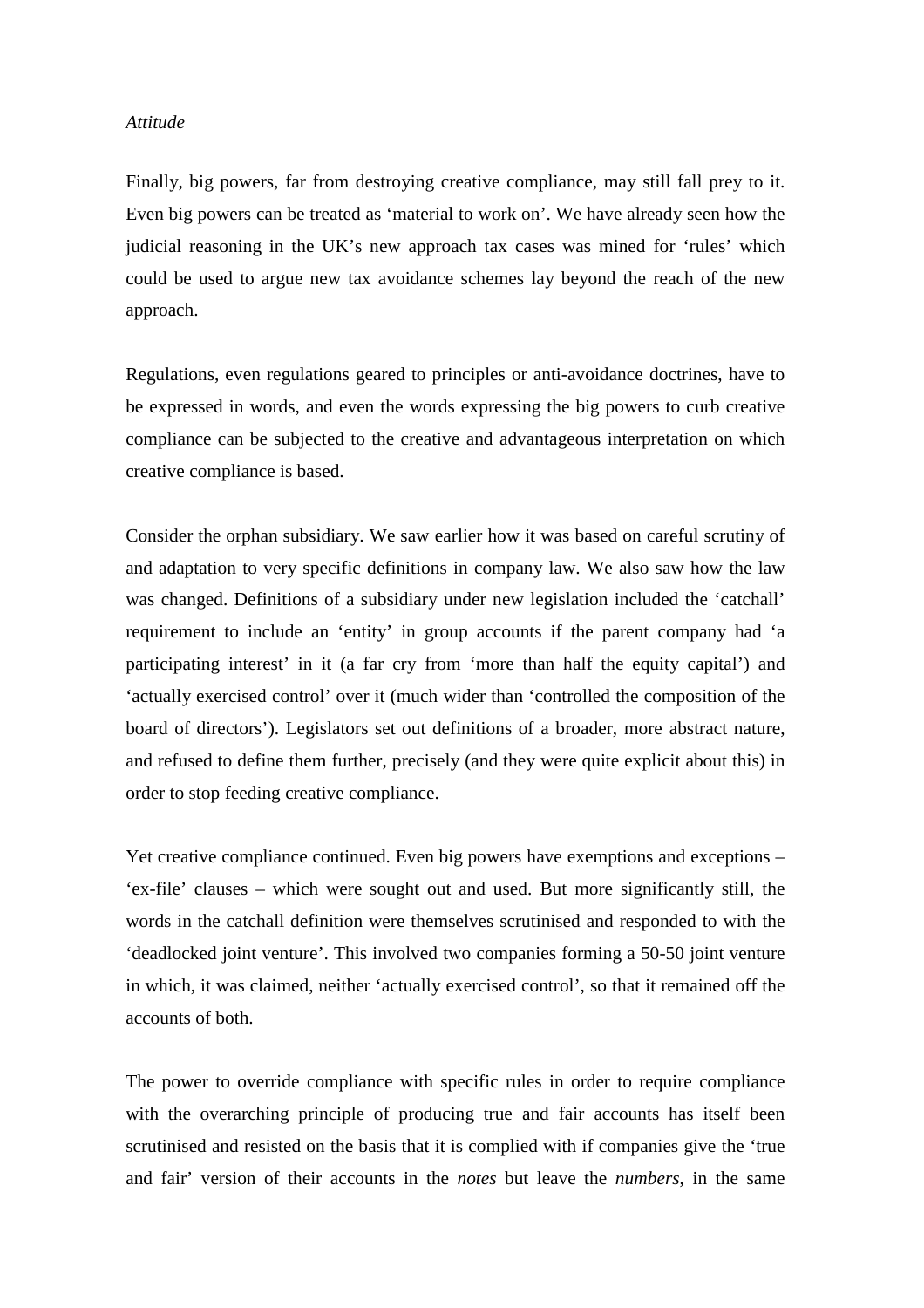#### *Attitude*

Finally, big powers, far from destroying creative compliance, may still fall prey to it. Even big powers can be treated as 'material to work on'. We have already seen how the judicial reasoning in the UK's new approach tax cases was mined for 'rules' which could be used to argue new tax avoidance schemes lay beyond the reach of the new approach.

Regulations, even regulations geared to principles or anti-avoidance doctrines, have to be expressed in words, and even the words expressing the big powers to curb creative compliance can be subjected to the creative and advantageous interpretation on which creative compliance is based.

Consider the orphan subsidiary. We saw earlier how it was based on careful scrutiny of and adaptation to very specific definitions in company law. We also saw how the law was changed. Definitions of a subsidiary under new legislation included the 'catchall' requirement to include an 'entity' in group accounts if the parent company had 'a participating interest' in it (a far cry from 'more than half the equity capital') and 'actually exercised control' over it (much wider than 'controlled the composition of the board of directors'). Legislators set out definitions of a broader, more abstract nature, and refused to define them further, precisely (and they were quite explicit about this) in order to stop feeding creative compliance.

Yet creative compliance continued. Even big powers have exemptions and exceptions – 'ex-file' clauses – which were sought out and used. But more significantly still, the words in the catchall definition were themselves scrutinised and responded to with the 'deadlocked joint venture'. This involved two companies forming a 50-50 joint venture in which, it was claimed, neither 'actually exercised control', so that it remained off the accounts of both.

The power to override compliance with specific rules in order to require compliance with the overarching principle of producing true and fair accounts has itself been scrutinised and resisted on the basis that it is complied with if companies give the 'true and fair' version of their accounts in the *notes* but leave the *numbers*, in the same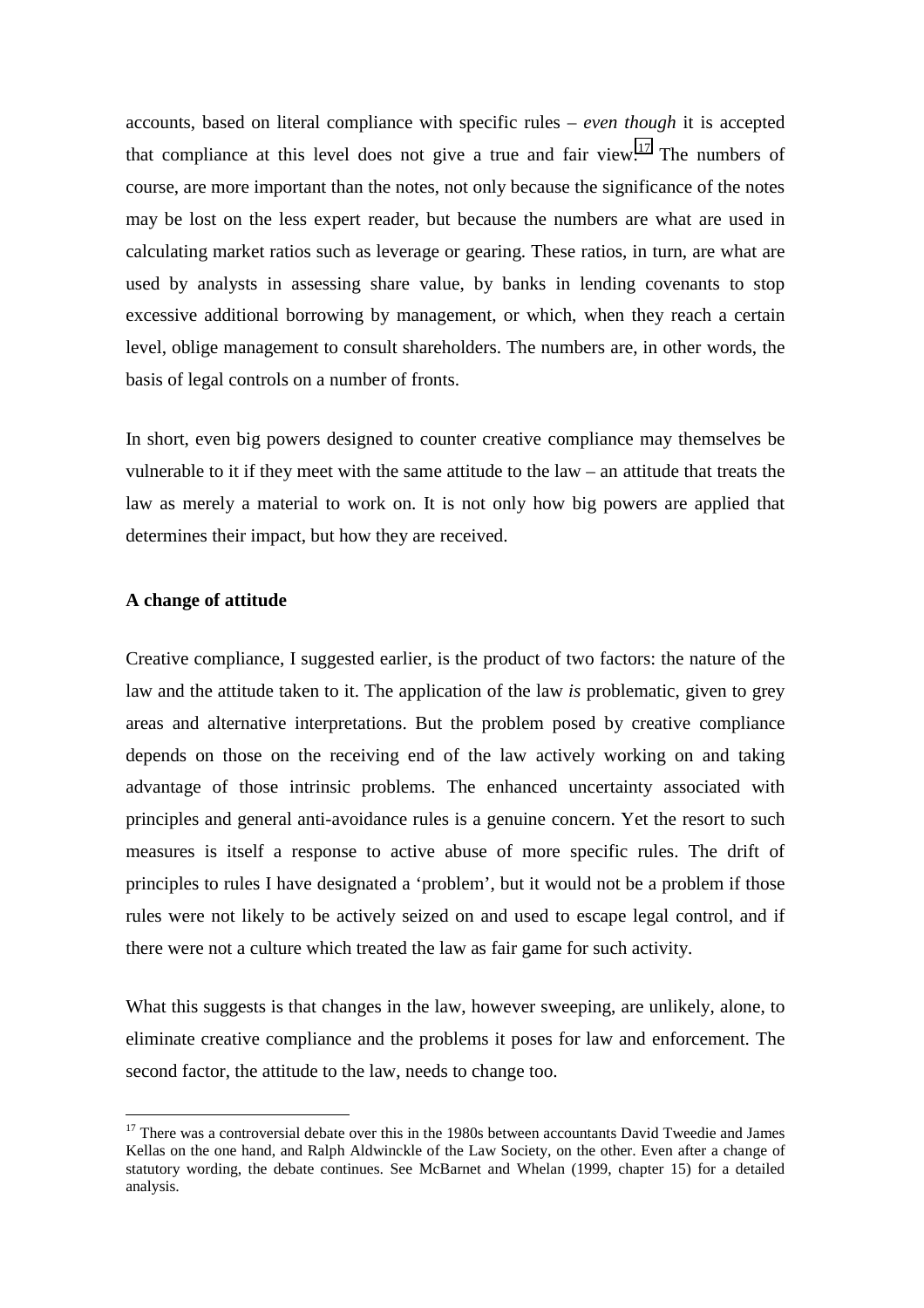accounts, based on literal compliance with specific rules – *even though* it is accepted that compliance at this level does not give a true and fair view.<sup>17</sup> The numbers of course, are more important than the notes, not only because the significance of the notes may be lost on the less expert reader, but because the numbers are what are used in calculating market ratios such as leverage or gearing. These ratios, in turn, are what are used by analysts in assessing share value, by banks in lending covenants to stop excessive additional borrowing by management, or which, when they reach a certain level, oblige management to consult shareholders. The numbers are, in other words, the basis of legal controls on a number of fronts.

In short, even big powers designed to counter creative compliance may themselves be vulnerable to it if they meet with the same attitude to the law – an attitude that treats the law as merely a material to work on. It is not only how big powers are applied that determines their impact, but how they are received.

## **A change of attitude**

 $\overline{a}$ 

Creative compliance, I suggested earlier, is the product of two factors: the nature of the law and the attitude taken to it. The application of the law *is* problematic, given to grey areas and alternative interpretations. But the problem posed by creative compliance depends on those on the receiving end of the law actively working on and taking advantage of those intrinsic problems. The enhanced uncertainty associated with principles and general anti-avoidance rules is a genuine concern. Yet the resort to such measures is itself a response to active abuse of more specific rules. The drift of principles to rules I have designated a 'problem', but it would not be a problem if those rules were not likely to be actively seized on and used to escape legal control, and if there were not a culture which treated the law as fair game for such activity.

What this suggests is that changes in the law, however sweeping, are unlikely, alone, to eliminate creative compliance and the problems it poses for law and enforcement. The second factor, the attitude to the law, needs to change too.

 $17$  There was a controversial debate over this in the 1980s between accountants David Tweedie and James Kellas on the one hand, and Ralph Aldwinckle of the Law Society, on the other. Even after a change of statutory wording, the debate continues. See McBarnet and Whelan (1999, chapter 15) for a detailed analysis.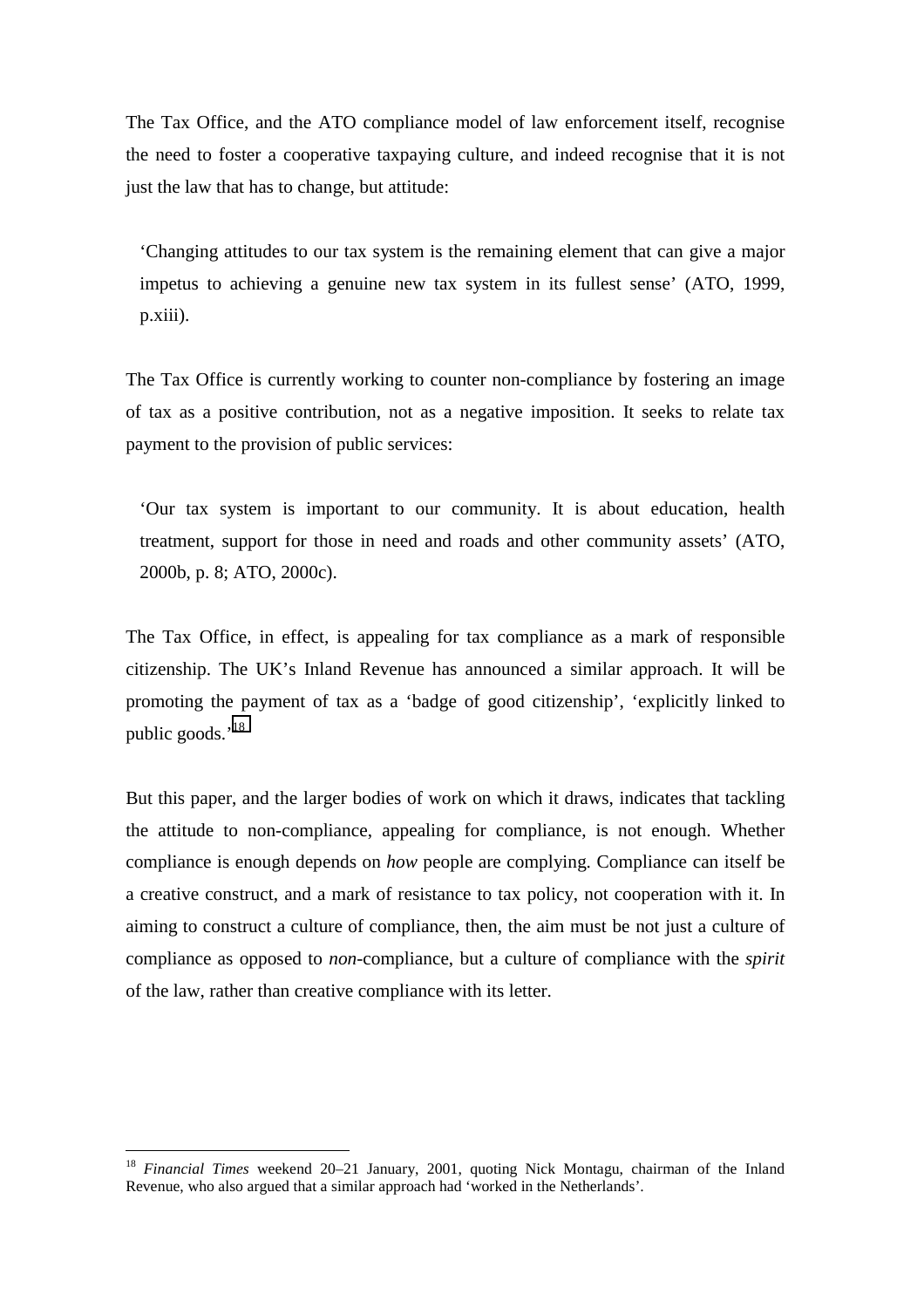The Tax Office, and the ATO compliance model of law enforcement itself, recognise the need to foster a cooperative taxpaying culture, and indeed recognise that it is not just the law that has to change, but attitude:

'Changing attitudes to our tax system is the remaining element that can give a major impetus to achieving a genuine new tax system in its fullest sense' (ATO, 1999, p.xiii).

The Tax Office is currently working to counter non-compliance by fostering an image of tax as a positive contribution, not as a negative imposition. It seeks to relate tax payment to the provision of public services:

'Our tax system is important to our community. It is about education, health treatment, support for those in need and roads and other community assets' (ATO, 2000b, p. 8; ATO, 2000c).

The Tax Office, in effect, is appealing for tax compliance as a mark of responsible citizenship. The UK's Inland Revenue has announced a similar approach. It will be promoting the payment of tax as a 'badge of good citizenship', 'explicitly linked to public goods.'<sup>18</sup>

But this paper, and the larger bodies of work on which it draws, indicates that tackling the attitude to non-compliance, appealing for compliance, is not enough. Whether compliance is enough depends on *how* people are complying. Compliance can itself be a creative construct, and a mark of resistance to tax policy, not cooperation with it. In aiming to construct a culture of compliance, then, the aim must be not just a culture of compliance as opposed to *non*-compliance, but a culture of compliance with the *spirit* of the law, rather than creative compliance with its letter.

<sup>18</sup> *Financial Times* weekend 20–21 January, 2001, quoting Nick Montagu, chairman of the Inland Revenue, who also argued that a similar approach had 'worked in the Netherlands'.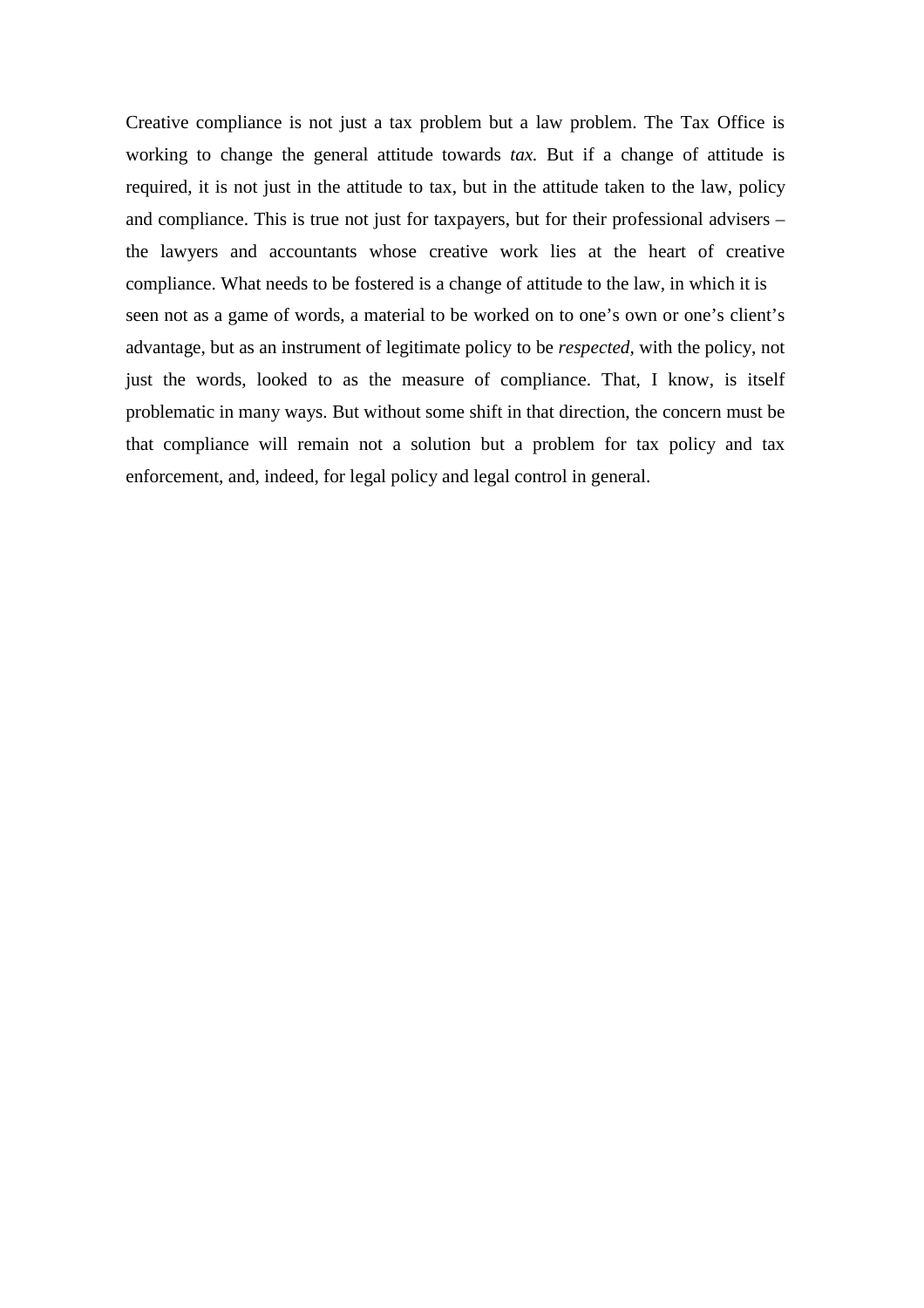Creative compliance is not just a tax problem but a law problem. The Tax Office is working to change the general attitude towards *tax.* But if a change of attitude is required, it is not just in the attitude to tax, but in the attitude taken to the law, policy and compliance. This is true not just for taxpayers, but for their professional advisers – the lawyers and accountants whose creative work lies at the heart of creative compliance. What needs to be fostered is a change of attitude to the law, in which it is seen not as a game of words, a material to be worked on to one's own or one's client's advantage, but as an instrument of legitimate policy to be *respected,* with the policy, not just the words, looked to as the measure of compliance. That, I know, is itself problematic in many ways. But without some shift in that direction, the concern must be that compliance will remain not a solution but a problem for tax policy and tax enforcement, and, indeed, for legal policy and legal control in general.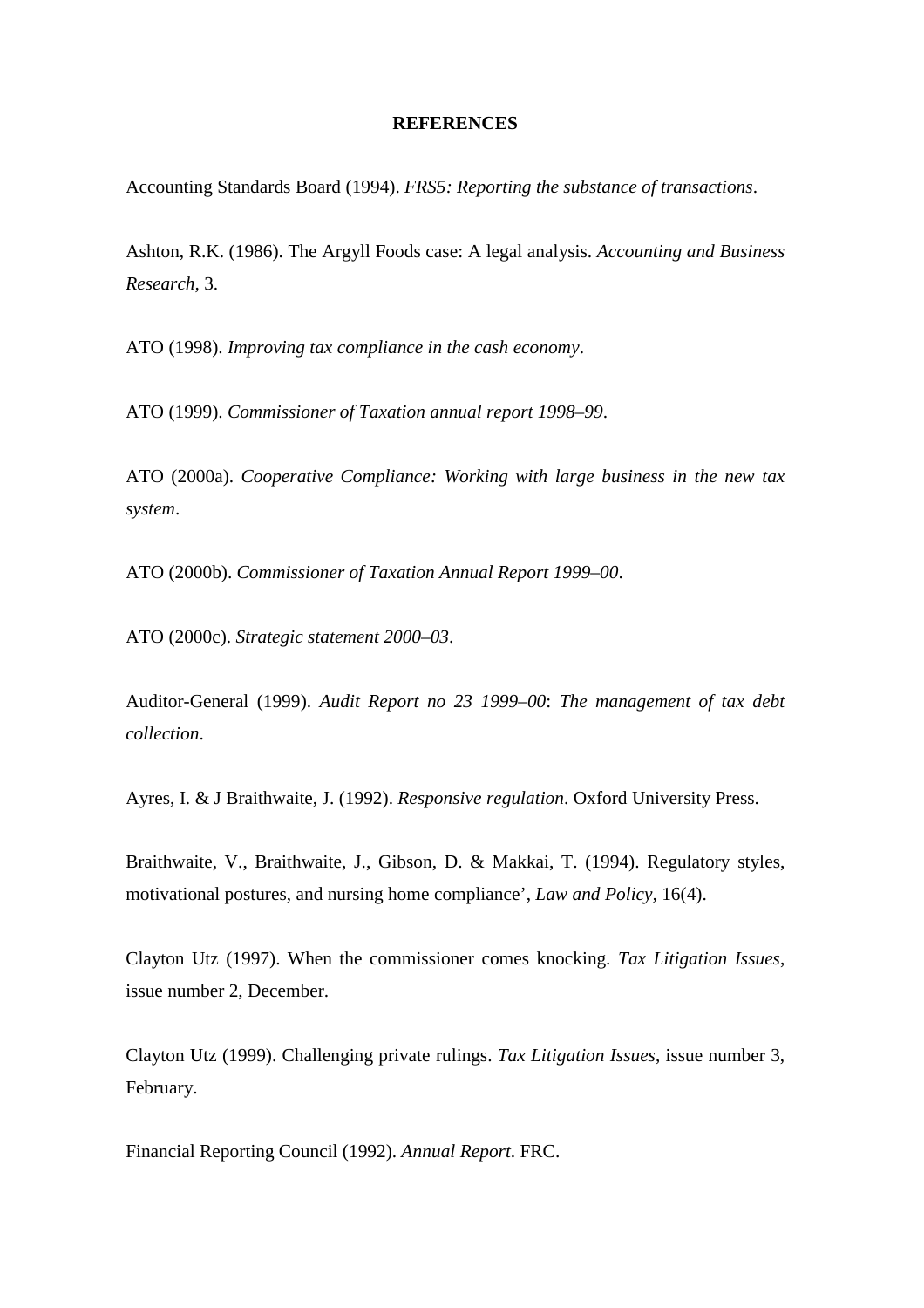#### **REFERENCES**

Accounting Standards Board (1994). *FRS5: Reporting the substance of transactions*.

Ashton, R.K. (1986). The Argyll Foods case: A legal analysis. *Accounting and Business Research,* 3.

ATO (1998). *Improving tax compliance in the cash economy*.

ATO (1999). *Commissioner of Taxation annual report 1998–99*.

ATO (2000a). *Cooperative Compliance: Working with large business in the new tax system*.

ATO (2000b). *Commissioner of Taxation Annual Report 1999–00*.

ATO (2000c). *Strategic statement 2000–03*.

Auditor-General (1999). *Audit Report no 23 1999–00*: *The management of tax debt collection*.

Ayres, I. & J Braithwaite, J. (1992). *Responsive regulation*. Oxford University Press.

Braithwaite, V., Braithwaite, J., Gibson, D. & Makkai, T. (1994). Regulatory styles, motivational postures, and nursing home compliance', *Law and Policy,* 16(4).

Clayton Utz (1997). When the commissioner comes knocking. *Tax Litigation Issues*, issue number 2, December.

Clayton Utz (1999). Challenging private rulings. *Tax Litigation Issues*, issue number 3, February.

Financial Reporting Council (1992). *Annual Report*. FRC.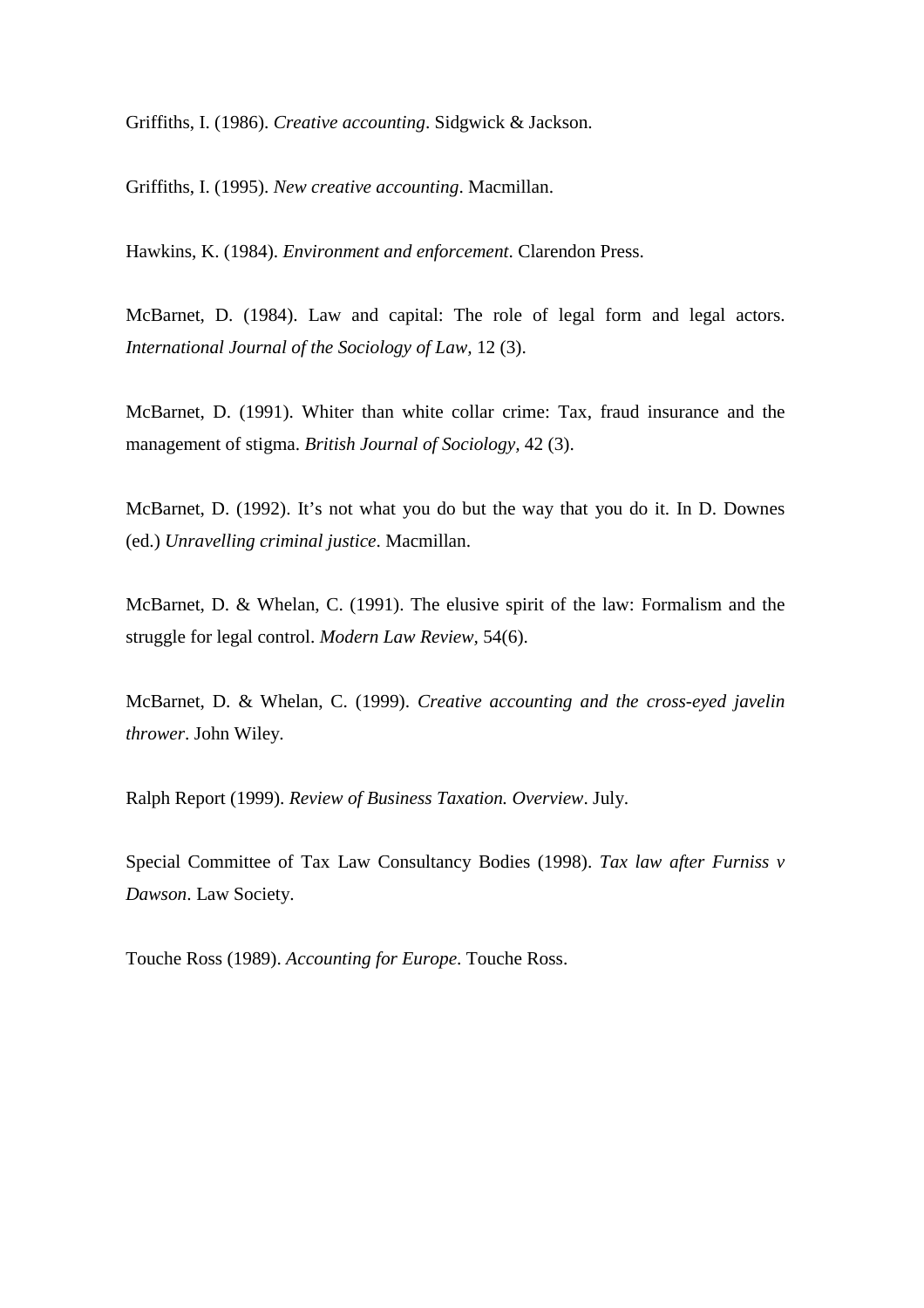Griffiths, I. (1986). *Creative accounting*. Sidgwick & Jackson.

Griffiths, I. (1995). *New creative accounting*. Macmillan.

Hawkins, K. (1984). *Environment and enforcement*. Clarendon Press.

McBarnet, D. (1984). Law and capital: The role of legal form and legal actors. *International Journal of the Sociology of Law,* 12 (3).

McBarnet, D. (1991). Whiter than white collar crime: Tax, fraud insurance and the management of stigma. *British Journal of Sociology,* 42 (3).

McBarnet, D. (1992). It's not what you do but the way that you do it. In D. Downes (ed.) *Unravelling criminal justice*. Macmillan.

McBarnet, D. & Whelan, C. (1991). The elusive spirit of the law: Formalism and the struggle for legal control. *Modern Law Review,* 54(6).

McBarnet, D. & Whelan, C. (1999). *Creative accounting and the cross-eyed javelin thrower*. John Wiley.

Ralph Report (1999). *Review of Business Taxation. Overview*. July.

Special Committee of Tax Law Consultancy Bodies (1998). *Tax law after Furniss v Dawson*. Law Society.

Touche Ross (1989). *Accounting for Europe*. Touche Ross.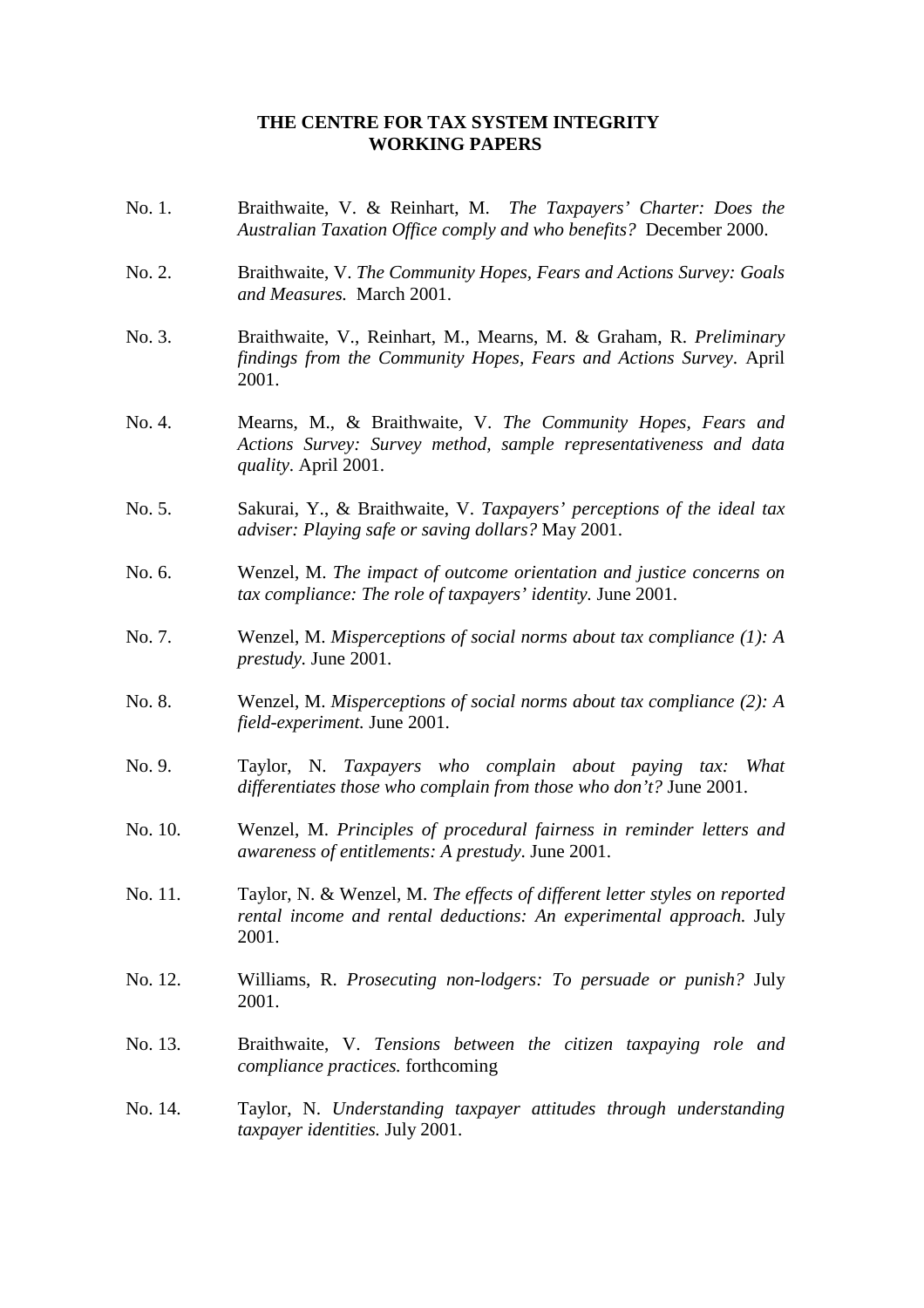#### **THE CENTRE FOR TAX SYSTEM INTEGRITY WORKING PAPERS**

- No. 1. Braithwaite, V. & Reinhart, M. *The Taxpayers' Charter: Does the Australian Taxation Office comply and who benefits?* December 2000.
- No. 2. Braithwaite, V. *The Community Hopes, Fears and Actions Survey: Goals and Measures.* March 2001.
- No. 3. Braithwaite, V., Reinhart, M., Mearns, M. & Graham, R. *Preliminary findings from the Community Hopes, Fears and Actions Survey*. April 2001.
- No. 4. Mearns, M., & Braithwaite, V. *The Community Hopes, Fears and Actions Survey: Survey method, sample representativeness and data quality*. April 2001.
- No. 5. Sakurai, Y., & Braithwaite, V. *Taxpayers' perceptions of the ideal tax adviser: Playing safe or saving dollars?* May 2001.
- No. 6. Wenzel, M. *The impact of outcome orientation and justice concerns on tax compliance: The role of taxpayers' identity.* June 2001.
- No. 7. Wenzel, M. *Misperceptions of social norms about tax compliance (1): A prestudy.* June 2001.
- No. 8. Wenzel, M. *Misperceptions of social norms about tax compliance (2): A field-experiment.* June 2001.
- No. 9. Taylor, N. *Taxpayers who complain about paying tax: What differentiates those who complain from those who don't?* June 2001.
- No. 10. Wenzel, M. *Principles of procedural fairness in reminder letters and awareness of entitlements: A prestudy*. June 2001.
- No. 11. Taylor, N. & Wenzel, M. *The effects of different letter styles on reported rental income and rental deductions: An experimental approach.* July 2001.
- No. 12. Williams, R. *Prosecuting non-lodgers: To persuade or punish?* July 2001.
- No. 13. Braithwaite, V. *Tensions between the citizen taxpaying role and compliance practices.* forthcoming
- No. 14. Taylor, N. *Understanding taxpayer attitudes through understanding taxpayer identities.* July 2001.